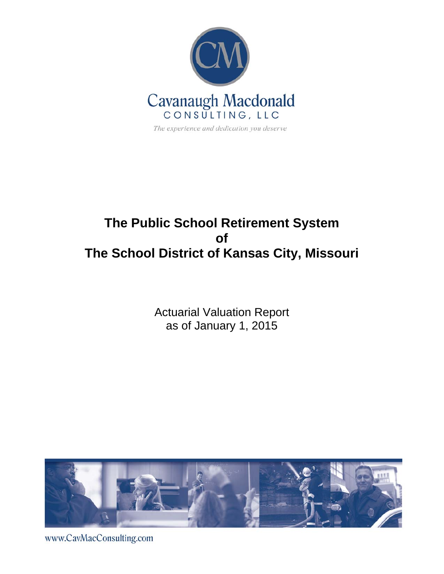

# **The Public School Retirement System of The School District of Kansas City, Missouri**

Actuarial Valuation Report as of January 1, 2015



www.CavMacConsulting.com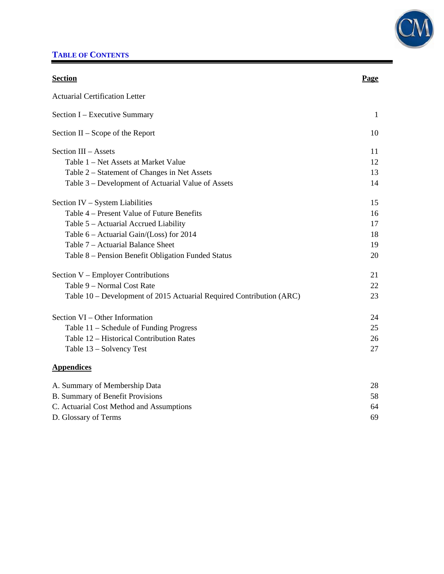

# **TABLE OF CONTENTS**

| <b>Section</b>                                                       | Page         |
|----------------------------------------------------------------------|--------------|
| <b>Actuarial Certification Letter</b>                                |              |
| Section I – Executive Summary                                        | $\mathbf{1}$ |
| Section $II -$ Scope of the Report                                   | 10           |
| Section III - Assets                                                 | 11           |
| Table 1 – Net Assets at Market Value                                 | 12           |
| Table 2 – Statement of Changes in Net Assets                         | 13           |
| Table 3 – Development of Actuarial Value of Assets                   | 14           |
| Section IV - System Liabilities                                      | 15           |
| Table 4 – Present Value of Future Benefits                           | 16           |
| Table 5 – Actuarial Accrued Liability                                | 17           |
| Table 6 – Actuarial Gain/(Loss) for 2014                             | 18           |
| Table 7 – Actuarial Balance Sheet                                    | 19           |
| Table 8 – Pension Benefit Obligation Funded Status                   | 20           |
| Section V - Employer Contributions                                   | 21           |
| Table 9 - Normal Cost Rate                                           | 22           |
| Table 10 – Development of 2015 Actuarial Required Contribution (ARC) | 23           |
| Section VI – Other Information                                       | 24           |
| Table 11 – Schedule of Funding Progress                              | 25           |
| Table 12 - Historical Contribution Rates                             | 26           |
| Table 13 - Solvency Test                                             | 27           |
| <b>Appendices</b>                                                    |              |
| A. Summary of Membership Data                                        | 28           |
| <b>B. Summary of Benefit Provisions</b>                              | 58           |
| C. Actuarial Cost Method and Assumptions                             | 64           |

D. Glossary of Terms 69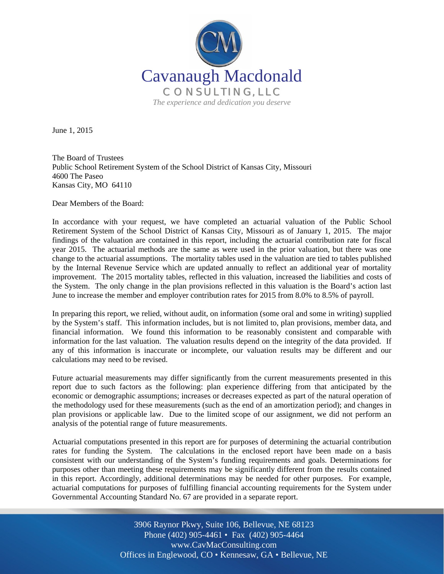

June 1, 2015

I

The Board of Trustees Public School Retirement System of the School District of Kansas City, Missouri 4600 The Paseo Kansas City, MO 64110

Dear Members of the Board:

In accordance with your request, we have completed an actuarial valuation of the Public School Retirement System of the School District of Kansas City, Missouri as of January 1, 2015. The major findings of the valuation are contained in this report, including the actuarial contribution rate for fiscal year 2015. The actuarial methods are the same as were used in the prior valuation, but there was one change to the actuarial assumptions. The mortality tables used in the valuation are tied to tables published by the Internal Revenue Service which are updated annually to reflect an additional year of mortality improvement. The 2015 mortality tables, reflected in this valuation, increased the liabilities and costs of the System. The only change in the plan provisions reflected in this valuation is the Board's action last June to increase the member and employer contribution rates for 2015 from 8.0% to 8.5% of payroll.

In preparing this report, we relied, without audit, on information (some oral and some in writing) supplied by the System's staff. This information includes, but is not limited to, plan provisions, member data, and financial information. We found this information to be reasonably consistent and comparable with information for the last valuation. The valuation results depend on the integrity of the data provided. If any of this information is inaccurate or incomplete, our valuation results may be different and our calculations may need to be revised.

Future actuarial measurements may differ significantly from the current measurements presented in this report due to such factors as the following: plan experience differing from that anticipated by the economic or demographic assumptions; increases or decreases expected as part of the natural operation of the methodology used for these measurements (such as the end of an amortization period); and changes in plan provisions or applicable law. Due to the limited scope of our assignment, we did not perform an analysis of the potential range of future measurements.

Actuarial computations presented in this report are for purposes of determining the actuarial contribution rates for funding the System. The calculations in the enclosed report have been made on a basis consistent with our understanding of the System's funding requirements and goals. Determinations for purposes other than meeting these requirements may be significantly different from the results contained in this report. Accordingly, additional determinations may be needed for other purposes. For example, actuarial computations for purposes of fulfilling financial accounting requirements for the System under Governmental Accounting Standard No. 67 are provided in a separate report.

> Off Offices in Englewood, CO • Kennesaw, GA • Bellevue, NE 3906 Raynor Pkwy, Suite 106, Bellevue, NE 68123 Phone (402) 905-4461 • Fax (402) 905-4464 www.CavMacConsulting.com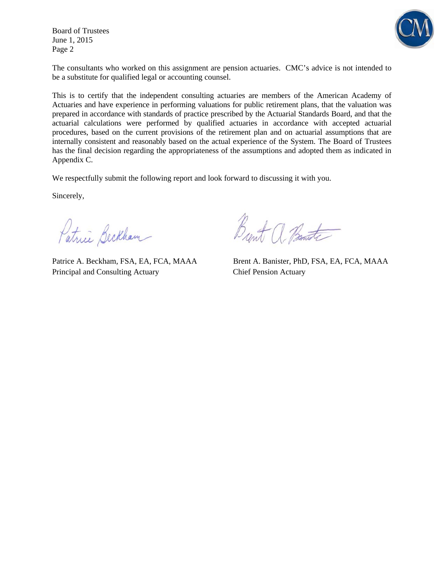Board of Trustees June 1, 2015 Page 2



The consultants who worked on this assignment are pension actuaries. CMC's advice is not intended to be a substitute for qualified legal or accounting counsel.

This is to certify that the independent consulting actuaries are members of the American Academy of Actuaries and have experience in performing valuations for public retirement plans, that the valuation was prepared in accordance with standards of practice prescribed by the Actuarial Standards Board, and that the actuarial calculations were performed by qualified actuaries in accordance with accepted actuarial procedures, based on the current provisions of the retirement plan and on actuarial assumptions that are internally consistent and reasonably based on the actual experience of the System. The Board of Trustees has the final decision regarding the appropriateness of the assumptions and adopted them as indicated in Appendix C.

We respectfully submit the following report and look forward to discussing it with you.

Sincerely,

Patrice Beckham

Principal and Consulting Actuary Chief Pension Actuary

Brent a Bant

Patrice A. Beckham, FSA, EA, FCA, MAAA Brent A. Banister, PhD, FSA, EA, FCA, MAAA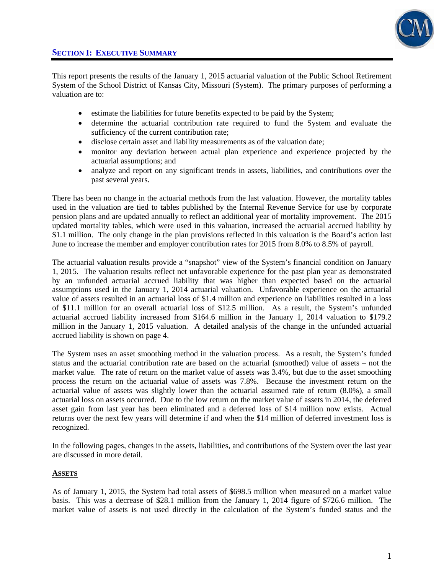

This report presents the results of the January 1, 2015 actuarial valuation of the Public School Retirement System of the School District of Kansas City, Missouri (System). The primary purposes of performing a valuation are to:

- estimate the liabilities for future benefits expected to be paid by the System;
- determine the actuarial contribution rate required to fund the System and evaluate the sufficiency of the current contribution rate;
- disclose certain asset and liability measurements as of the valuation date;
- monitor any deviation between actual plan experience and experience projected by the actuarial assumptions; and
- analyze and report on any significant trends in assets, liabilities, and contributions over the past several years.

There has been no change in the actuarial methods from the last valuation. However, the mortality tables used in the valuation are tied to tables published by the Internal Revenue Service for use by corporate pension plans and are updated annually to reflect an additional year of mortality improvement. The 2015 updated mortality tables, which were used in this valuation, increased the actuarial accrued liability by \$1.1 million. The only change in the plan provisions reflected in this valuation is the Board's action last June to increase the member and employer contribution rates for 2015 from 8.0% to 8.5% of payroll.

The actuarial valuation results provide a "snapshot" view of the System's financial condition on January 1, 2015. The valuation results reflect net unfavorable experience for the past plan year as demonstrated by an unfunded actuarial accrued liability that was higher than expected based on the actuarial assumptions used in the January 1, 2014 actuarial valuation. Unfavorable experience on the actuarial value of assets resulted in an actuarial loss of \$1.4 million and experience on liabilities resulted in a loss of \$11.1 million for an overall actuarial loss of \$12.5 million. As a result, the System's unfunded actuarial accrued liability increased from \$164.6 million in the January 1, 2014 valuation to \$179.2 million in the January 1, 2015 valuation. A detailed analysis of the change in the unfunded actuarial accrued liability is shown on page 4.

The System uses an asset smoothing method in the valuation process. As a result, the System's funded status and the actuarial contribution rate are based on the actuarial (smoothed) value of assets – not the market value. The rate of return on the market value of assets was 3.4%, but due to the asset smoothing process the return on the actuarial value of assets was 7.8%. Because the investment return on the actuarial value of assets was slightly lower than the actuarial assumed rate of return (8.0%), a small actuarial loss on assets occurred. Due to the low return on the market value of assets in 2014, the deferred asset gain from last year has been eliminated and a deferred loss of \$14 million now exists. Actual returns over the next few years will determine if and when the \$14 million of deferred investment loss is recognized.

In the following pages, changes in the assets, liabilities, and contributions of the System over the last year are discussed in more detail.

#### **ASSETS**

As of January 1, 2015, the System had total assets of \$698.5 million when measured on a market value basis. This was a decrease of \$28.1 million from the January 1, 2014 figure of \$726.6 million. The market value of assets is not used directly in the calculation of the System's funded status and the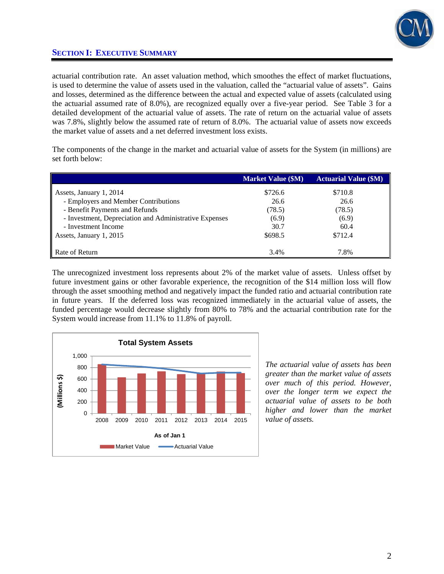

actuarial contribution rate. An asset valuation method, which smoothes the effect of market fluctuations, is used to determine the value of assets used in the valuation, called the "actuarial value of assets". Gains and losses, determined as the difference between the actual and expected value of assets (calculated using the actuarial assumed rate of 8.0%), are recognized equally over a five-year period. See Table 3 for a detailed development of the actuarial value of assets. The rate of return on the actuarial value of assets was 7.8%, slightly below the assumed rate of return of 8.0%. The actuarial value of assets now exceeds the market value of assets and a net deferred investment loss exists.

The components of the change in the market and actuarial value of assets for the System (in millions) are set forth below:

|                                                        | <b>Market Value (\$M)</b> | <b>Actuarial Value (\$M)</b> |
|--------------------------------------------------------|---------------------------|------------------------------|
| Assets, January 1, 2014                                | \$726.6                   | \$710.8                      |
| - Employers and Member Contributions                   | 26.6                      | 26.6                         |
| - Benefit Payments and Refunds                         | (78.5)                    | (78.5)                       |
| - Investment, Depreciation and Administrative Expenses | (6.9)                     | (6.9)                        |
| - Investment Income                                    | 30.7                      | 60.4                         |
| Assets, January 1, 2015                                | \$698.5                   | \$712.4                      |
| Rate of Return                                         | 3.4%                      | 7.8%                         |

The unrecognized investment loss represents about 2% of the market value of assets. Unless offset by future investment gains or other favorable experience, the recognition of the \$14 million loss will flow through the asset smoothing method and negatively impact the funded ratio and actuarial contribution rate in future years. If the deferred loss was recognized immediately in the actuarial value of assets, the funded percentage would decrease slightly from 80% to 78% and the actuarial contribution rate for the System would increase from 11.1% to 11.8% of payroll.



*The actuarial value of assets has been greater than the market value of assets over much of this period. However, over the longer term we expect the actuarial value of assets to be both higher and lower than the market value of assets.*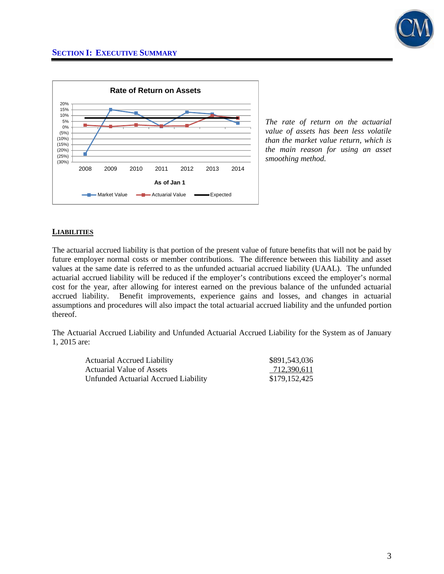



*The rate of return on the actuarial value of assets has been less volatile than the market value return, which is the main reason for using an asset smoothing method.* 

#### **LIABILITIES**

The actuarial accrued liability is that portion of the present value of future benefits that will not be paid by future employer normal costs or member contributions. The difference between this liability and asset values at the same date is referred to as the unfunded actuarial accrued liability (UAAL). The unfunded actuarial accrued liability will be reduced if the employer's contributions exceed the employer's normal cost for the year, after allowing for interest earned on the previous balance of the unfunded actuarial accrued liability. Benefit improvements, experience gains and losses, and changes in actuarial assumptions and procedures will also impact the total actuarial accrued liability and the unfunded portion thereof.

The Actuarial Accrued Liability and Unfunded Actuarial Accrued Liability for the System as of January 1, 2015 are:

| <b>Actuarial Accrued Liability</b>   | \$891,543,036 |
|--------------------------------------|---------------|
| Actuarial Value of Assets            | 712,390,611   |
| Unfunded Actuarial Accrued Liability | \$179,152,425 |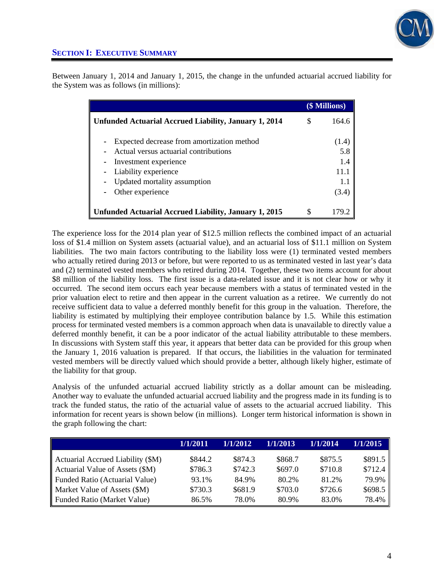

Between January 1, 2014 and January 1, 2015, the change in the unfunded actuarial accrued liability for the System was as follows (in millions):

|                                                                                                                                      |   | (\$ Millions)               |
|--------------------------------------------------------------------------------------------------------------------------------------|---|-----------------------------|
| Unfunded Actuarial Accrued Liability, January 1, 2014                                                                                | S | 164.6                       |
| Expected decrease from amortization method<br>Actual versus actuarial contributions<br>Investment experience<br>Liability experience |   | (1.4)<br>5.8<br>1.4<br>11.1 |
| Updated mortality assumption<br>Other experience                                                                                     |   | 1.1<br>(3.4)                |
| Unfunded Actuarial Accrued Liability, January 1, 2015                                                                                | S | 179.2                       |

The experience loss for the 2014 plan year of \$12.5 million reflects the combined impact of an actuarial loss of \$1.4 million on System assets (actuarial value), and an actuarial loss of \$11.1 million on System liabilities. The two main factors contributing to the liability loss were (1) terminated vested members who actually retired during 2013 or before, but were reported to us as terminated vested in last year's data and (2) terminated vested members who retired during 2014. Together, these two items account for about \$8 million of the liability loss. The first issue is a data-related issue and it is not clear how or why it occurred. The second item occurs each year because members with a status of terminated vested in the prior valuation elect to retire and then appear in the current valuation as a retiree. We currently do not receive sufficient data to value a deferred monthly benefit for this group in the valuation. Therefore, the liability is estimated by multiplying their employee contribution balance by 1.5. While this estimation process for terminated vested members is a common approach when data is unavailable to directly value a deferred monthly benefit, it can be a poor indicator of the actual liability attributable to these members. In discussions with System staff this year, it appears that better data can be provided for this group when the January 1, 2016 valuation is prepared. If that occurs, the liabilities in the valuation for terminated vested members will be directly valued which should provide a better, although likely higher, estimate of the liability for that group.

Analysis of the unfunded actuarial accrued liability strictly as a dollar amount can be misleading. Another way to evaluate the unfunded actuarial accrued liability and the progress made in its funding is to track the funded status, the ratio of the actuarial value of assets to the actuarial accrued liability. This information for recent years is shown below (in millions). Longer term historical information is shown in the graph following the chart:

|                                   | 1/1/2011 | 1/1/2012 | 1/1/2013 | 1/1/2014 | 1/1/2015 |
|-----------------------------------|----------|----------|----------|----------|----------|
| Actuarial Accrued Liability (\$M) | \$844.2  | \$874.3  | \$868.7  | \$875.5  | \$891.5  |
| Actuarial Value of Assets (\$M)   | \$786.3  | \$742.3  | \$697.0  | \$710.8  | \$712.4  |
| Funded Ratio (Actuarial Value)    | 93.1%    | 84.9%    | 80.2%    | 81.2%    | 79.9%    |
| Market Value of Assets (\$M)      | \$730.3  | \$681.9  | \$703.0  | \$726.6  | \$698.5  |
| Funded Ratio (Market Value)       | 86.5%    | 78.0%    | 80.9%    | 83.0%    | 78.4%    |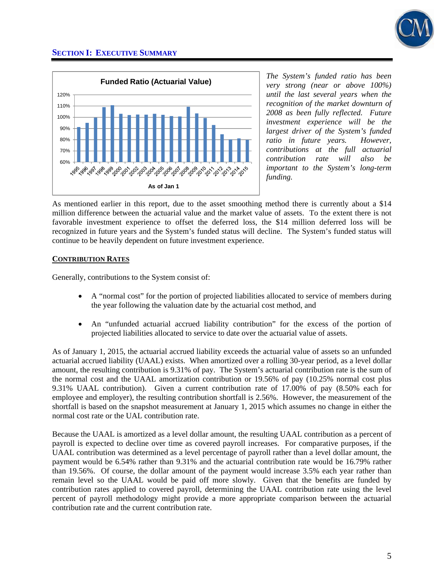



*The System's funded ratio has been very strong (near or above 100%) until the last several years when the recognition of the market downturn of 2008 as been fully reflected. Future investment experience will be the largest driver of the System's funded ratio in future years. However, contributions at the full actuarial contribution rate will also be important to the System's long-term funding.* 

As mentioned earlier in this report, due to the asset smoothing method there is currently about a \$14 million difference between the actuarial value and the market value of assets. To the extent there is not favorable investment experience to offset the deferred loss, the \$14 million deferred loss will be recognized in future years and the System's funded status will decline. The System's funded status will continue to be heavily dependent on future investment experience.

#### **CONTRIBUTION RATES**

Generally, contributions to the System consist of:

- A "normal cost" for the portion of projected liabilities allocated to service of members during the year following the valuation date by the actuarial cost method, and
- An "unfunded actuarial accrued liability contribution" for the excess of the portion of projected liabilities allocated to service to date over the actuarial value of assets.

As of January 1, 2015, the actuarial accrued liability exceeds the actuarial value of assets so an unfunded actuarial accrued liability (UAAL) exists. When amortized over a rolling 30-year period, as a level dollar amount, the resulting contribution is 9.31% of pay. The System's actuarial contribution rate is the sum of the normal cost and the UAAL amortization contribution or 19.56% of pay (10.25% normal cost plus 9.31% UAAL contribution). Given a current contribution rate of 17.00% of pay (8.50% each for employee and employer), the resulting contribution shortfall is 2.56%. However, the measurement of the shortfall is based on the snapshot measurement at January 1, 2015 which assumes no change in either the normal cost rate or the UAL contribution rate.

Because the UAAL is amortized as a level dollar amount, the resulting UAAL contribution as a percent of payroll is expected to decline over time as covered payroll increases. For comparative purposes, if the UAAL contribution was determined as a level percentage of payroll rather than a level dollar amount, the payment would be 6.54% rather than 9.31% and the actuarial contribution rate would be 16.79% rather than 19.56%. Of course, the dollar amount of the payment would increase 3.5% each year rather than remain level so the UAAL would be paid off more slowly. Given that the benefits are funded by contribution rates applied to covered payroll, determining the UAAL contribution rate using the level percent of payroll methodology might provide a more appropriate comparison between the actuarial contribution rate and the current contribution rate.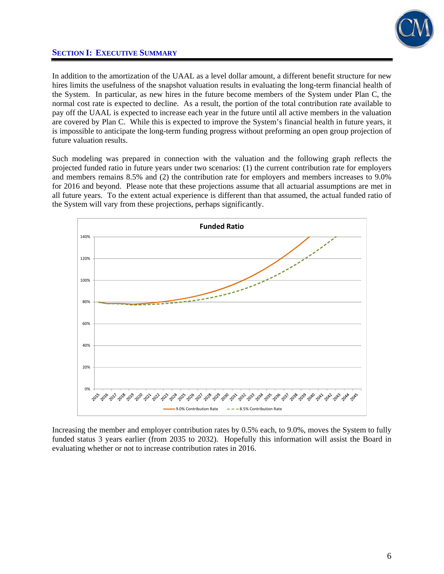

In addition to the amortization of the UAAL as a level dollar amount, a different benefit structure for new hires limits the usefulness of the snapshot valuation results in evaluating the long-term financial health of the System. In particular, as new hires in the future become members of the System under Plan C, the normal cost rate is expected to decline. As a result, the portion of the total contribution rate available to pay off the UAAL is expected to increase each year in the future until all active members in the valuation are covered by Plan C. While this is expected to improve the System's financial health in future years, it is impossible to anticipate the long-term funding progress without preforming an open group projection of future valuation results.

Such modeling was prepared in connection with the valuation and the following graph reflects the projected funded ratio in future years under two scenarios: (1) the current contribution rate for employers and members remains 8.5% and (2) the contribution rate for employers and members increases to 9.0% for 2016 and beyond. Please note that these projections assume that all actuarial assumptions are met in all future years. To the extent actual experience is different than that assumed, the actual funded ratio of the System will vary from these projections, perhaps significantly.



Increasing the member and employer contribution rates by 0.5% each, to 9.0%, moves the System to fully funded status 3 years earlier (from 2035 to 2032). Hopefully this information will assist the Board in evaluating whether or not to increase contribution rates in 2016.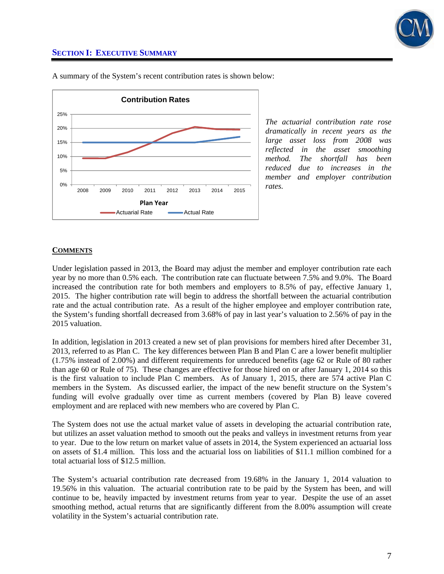



A summary of the System's recent contribution rates is shown below:

*The actuarial contribution rate rose dramatically in recent years as the large asset loss from 2008 was reflected in the asset smoothing method. The shortfall has been reduced due to increases in the member and employer contribution rates.* 

#### **COMMENTS**

Under legislation passed in 2013, the Board may adjust the member and employer contribution rate each year by no more than 0.5% each. The contribution rate can fluctuate between 7.5% and 9.0%. The Board increased the contribution rate for both members and employers to 8.5% of pay, effective January 1, 2015. The higher contribution rate will begin to address the shortfall between the actuarial contribution rate and the actual contribution rate. As a result of the higher employee and employer contribution rate, the System's funding shortfall decreased from 3.68% of pay in last year's valuation to 2.56% of pay in the 2015 valuation.

In addition, legislation in 2013 created a new set of plan provisions for members hired after December 31, 2013, referred to as Plan C. The key differences between Plan B and Plan C are a lower benefit multiplier (1.75% instead of 2.00%) and different requirements for unreduced benefits (age 62 or Rule of 80 rather than age 60 or Rule of 75). These changes are effective for those hired on or after January 1, 2014 so this is the first valuation to include Plan C members. As of January 1, 2015, there are 574 active Plan C members in the System. As discussed earlier, the impact of the new benefit structure on the System's funding will evolve gradually over time as current members (covered by Plan B) leave covered employment and are replaced with new members who are covered by Plan C.

The System does not use the actual market value of assets in developing the actuarial contribution rate, but utilizes an asset valuation method to smooth out the peaks and valleys in investment returns from year to year. Due to the low return on market value of assets in 2014, the System experienced an actuarial loss on assets of \$1.4 million. This loss and the actuarial loss on liabilities of \$11.1 million combined for a total actuarial loss of \$12.5 million.

The System's actuarial contribution rate decreased from 19.68% in the January 1, 2014 valuation to 19.56% in this valuation. The actuarial contribution rate to be paid by the System has been, and will continue to be, heavily impacted by investment returns from year to year. Despite the use of an asset smoothing method, actual returns that are significantly different from the 8.00% assumption will create volatility in the System's actuarial contribution rate.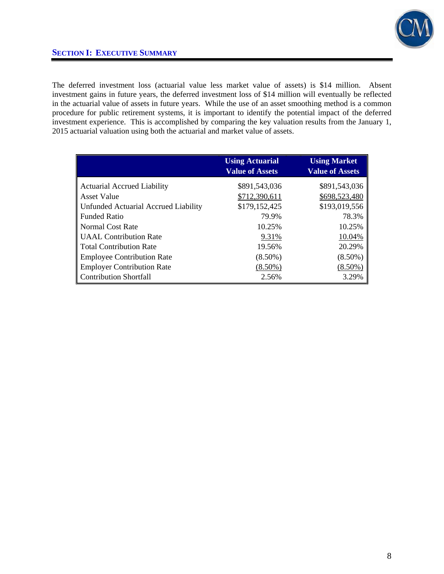

The deferred investment loss (actuarial value less market value of assets) is \$14 million. Absent investment gains in future years, the deferred investment loss of \$14 million will eventually be reflected in the actuarial value of assets in future years. While the use of an asset smoothing method is a common procedure for public retirement systems, it is important to identify the potential impact of the deferred investment experience. This is accomplished by comparing the key valuation results from the January 1, 2015 actuarial valuation using both the actuarial and market value of assets.

|                                      | <b>Using Actuarial</b> | <b>Using Market</b>    |
|--------------------------------------|------------------------|------------------------|
|                                      | <b>Value of Assets</b> | <b>Value of Assets</b> |
| <b>Actuarial Accrued Liability</b>   | \$891,543,036          | \$891,543,036          |
| <b>Asset Value</b>                   | \$712,390,611          | \$698,523,480          |
| Unfunded Actuarial Accrued Liability | \$179,152,425          | \$193,019,556          |
| <b>Funded Ratio</b>                  | 79.9%                  | 78.3%                  |
| <b>Normal Cost Rate</b>              | 10.25%                 | 10.25%                 |
| <b>UAAL</b> Contribution Rate        | 9.31%                  | 10.04%                 |
| <b>Total Contribution Rate</b>       | 19.56%                 | 20.29%                 |
| <b>Employee Contribution Rate</b>    | $(8.50\%)$             | $(8.50\%)$             |
| <b>Employer Contribution Rate</b>    | $(8.50\%)$             | $(8.50\%)$             |
| <b>Contribution Shortfall</b>        | 2.56%                  | 3.29%                  |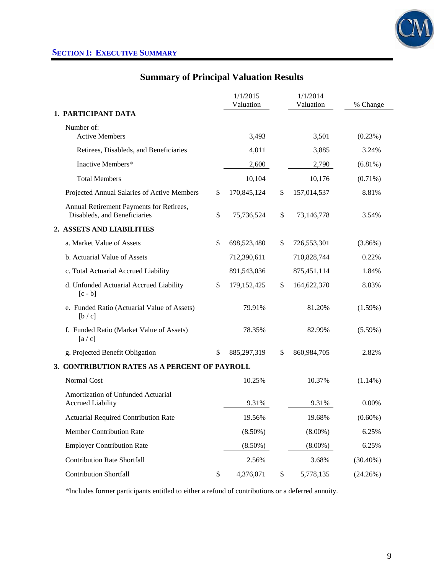

# **Summary of Principal Valuation Results**

|                                                                          | 1/1/2015<br>Valuation | 1/1/2014<br>Valuation | % Change    |
|--------------------------------------------------------------------------|-----------------------|-----------------------|-------------|
| 1. PARTICIPANT DATA                                                      |                       |                       |             |
| Number of:<br><b>Active Members</b>                                      | 3,493                 | 3,501                 | (0.23%)     |
| Retirees, Disableds, and Beneficiaries                                   | 4,011                 | 3,885                 | 3.24%       |
| Inactive Members*                                                        | 2,600                 | 2,790                 | $(6.81\%)$  |
| <b>Total Members</b>                                                     | 10,104                | 10,176                | $(0.71\%)$  |
| Projected Annual Salaries of Active Members                              | \$<br>170,845,124     | \$<br>157,014,537     | 8.81%       |
| Annual Retirement Payments for Retirees,<br>Disableds, and Beneficiaries | \$<br>75,736,524      | \$<br>73,146,778      | 3.54%       |
| 2. ASSETS AND LIABILITIES                                                |                       |                       |             |
| a. Market Value of Assets                                                | \$<br>698,523,480     | \$<br>726,553,301     | $(3.86\%)$  |
| b. Actuarial Value of Assets                                             | 712,390,611           | 710,828,744           | 0.22%       |
| c. Total Actuarial Accrued Liability                                     | 891,543,036           | 875,451,114           | 1.84%       |
| d. Unfunded Actuarial Accrued Liability<br>$[c - b]$                     | \$<br>179, 152, 425   | \$<br>164,622,370     | 8.83%       |
| e. Funded Ratio (Actuarial Value of Assets)<br>[b / c]                   | 79.91%                | 81.20%                | $(1.59\%)$  |
| f. Funded Ratio (Market Value of Assets)<br>[a/c]                        | 78.35%                | 82.99%                | $(5.59\%)$  |
| g. Projected Benefit Obligation                                          | \$<br>885,297,319     | \$<br>860,984,705     | 2.82%       |
| 3. CONTRIBUTION RATES AS A PERCENT OF PAYROLL                            |                       |                       |             |
| Normal Cost                                                              | 10.25%                | 10.37%                | $(1.14\%)$  |
| Amortization of Unfunded Actuarial<br><b>Accrued Liability</b>           | 9.31%                 | 9.31%                 | 0.00%       |
| <b>Actuarial Required Contribution Rate</b>                              | 19.56%                | 19.68%                | $(0.60\%)$  |
| Member Contribution Rate                                                 | $(8.50\%)$            | $(8.00\%)$            | 6.25%       |
| <b>Employer Contribution Rate</b>                                        | $(8.50\%)$            | $(8.00\%)$            | 6.25%       |
| <b>Contribution Rate Shortfall</b>                                       | 2.56%                 | 3.68%                 | $(30.40\%)$ |
| <b>Contribution Shortfall</b>                                            | \$<br>4,376,071       | \$<br>5,778,135       | (24.26%)    |

\*Includes former participants entitled to either a refund of contributions or a deferred annuity.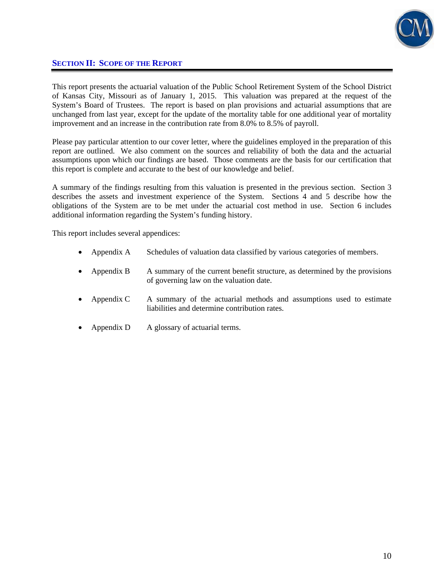

### **SECTION II: SCOPE OF THE REPORT**

This report presents the actuarial valuation of the Public School Retirement System of the School District of Kansas City, Missouri as of January 1, 2015. This valuation was prepared at the request of the System's Board of Trustees. The report is based on plan provisions and actuarial assumptions that are unchanged from last year, except for the update of the mortality table for one additional year of mortality improvement and an increase in the contribution rate from 8.0% to 8.5% of payroll.

Please pay particular attention to our cover letter, where the guidelines employed in the preparation of this report are outlined. We also comment on the sources and reliability of both the data and the actuarial assumptions upon which our findings are based. Those comments are the basis for our certification that this report is complete and accurate to the best of our knowledge and belief.

A summary of the findings resulting from this valuation is presented in the previous section. Section 3 describes the assets and investment experience of the System. Sections 4 and 5 describe how the obligations of the System are to be met under the actuarial cost method in use. Section 6 includes additional information regarding the System's funding history.

This report includes several appendices:

- Appendix A Schedules of valuation data classified by various categories of members.
- Appendix B A summary of the current benefit structure, as determined by the provisions of governing law on the valuation date.
- Appendix C A summary of the actuarial methods and assumptions used to estimate liabilities and determine contribution rates.
- Appendix D A glossary of actuarial terms.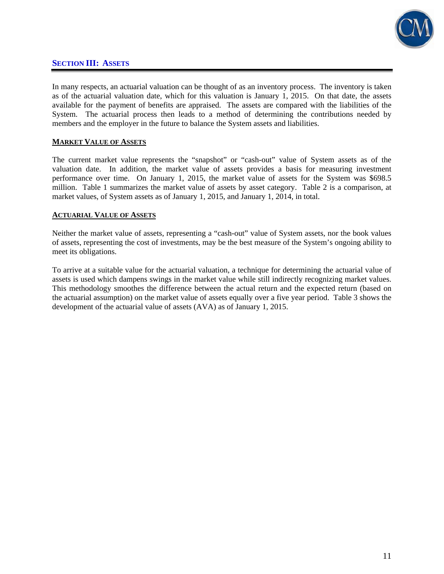

### **SECTION III: ASSETS**

In many respects, an actuarial valuation can be thought of as an inventory process. The inventory is taken as of the actuarial valuation date, which for this valuation is January 1, 2015. On that date, the assets available for the payment of benefits are appraised. The assets are compared with the liabilities of the System. The actuarial process then leads to a method of determining the contributions needed by members and the employer in the future to balance the System assets and liabilities.

#### **MARKET VALUE OF ASSETS**

The current market value represents the "snapshot" or "cash-out" value of System assets as of the valuation date. In addition, the market value of assets provides a basis for measuring investment performance over time. On January 1, 2015, the market value of assets for the System was \$698.5 million. Table 1 summarizes the market value of assets by asset category. Table 2 is a comparison, at market values, of System assets as of January 1, 2015, and January 1, 2014, in total.

#### **ACTUARIAL VALUE OF ASSETS**

Neither the market value of assets, representing a "cash-out" value of System assets, nor the book values of assets, representing the cost of investments, may be the best measure of the System's ongoing ability to meet its obligations.

To arrive at a suitable value for the actuarial valuation, a technique for determining the actuarial value of assets is used which dampens swings in the market value while still indirectly recognizing market values. This methodology smoothes the difference between the actual return and the expected return (based on the actuarial assumption) on the market value of assets equally over a five year period. Table 3 shows the development of the actuarial value of assets (AVA) as of January 1, 2015.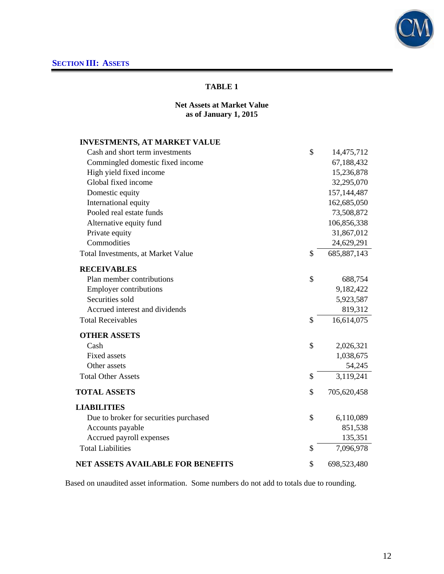

### **Net Assets at Market Value as of January 1, 2015**

| <b>INVESTMENTS, AT MARKET VALUE</b>      |                     |
|------------------------------------------|---------------------|
| Cash and short term investments          | \$<br>14,475,712    |
| Commingled domestic fixed income         | 67,188,432          |
| High yield fixed income                  | 15,236,878          |
| Global fixed income                      | 32,295,070          |
| Domestic equity                          | 157, 144, 487       |
| International equity                     | 162,685,050         |
| Pooled real estate funds                 | 73,508,872          |
| Alternative equity fund                  | 106,856,338         |
| Private equity                           | 31,867,012          |
| Commodities                              | 24,629,291          |
| Total Investments, at Market Value       | \$<br>685, 887, 143 |
| <b>RECEIVABLES</b>                       |                     |
| Plan member contributions                | \$<br>688,754       |
| <b>Employer contributions</b>            | 9,182,422           |
| Securities sold                          | 5,923,587           |
| Accrued interest and dividends           | 819,312             |
| <b>Total Receivables</b>                 | \$<br>16,614,075    |
| <b>OTHER ASSETS</b>                      |                     |
| Cash                                     | \$<br>2,026,321     |
| <b>Fixed assets</b>                      | 1,038,675           |
| Other assets                             | 54,245              |
| <b>Total Other Assets</b>                | \$<br>3,119,241     |
| <b>TOTAL ASSETS</b>                      | \$<br>705,620,458   |
| <b>LIABILITIES</b>                       |                     |
| Due to broker for securities purchased   | \$<br>6,110,089     |
| Accounts payable                         | 851,538             |
| Accrued payroll expenses                 | 135,351             |
| <b>Total Liabilities</b>                 | \$<br>7,096,978     |
| <b>NET ASSETS AVAILABLE FOR BENEFITS</b> | \$<br>698,523,480   |

Based on unaudited asset information. Some numbers do not add to totals due to rounding.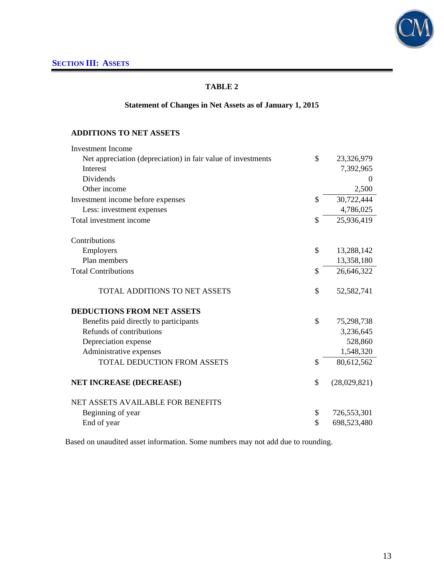

# **Statement of Changes in Net Assets as of January 1, 2015**

#### **ADDITIONS TO NET ASSETS**

| <b>Investment Income</b>                                     |               |              |
|--------------------------------------------------------------|---------------|--------------|
| Net appreciation (depreciation) in fair value of investments | \$            | 23,326,979   |
| Interest                                                     |               | 7,392,965    |
| Dividends                                                    |               | $\theta$     |
| Other income                                                 |               | 2,500        |
| Investment income before expenses                            | $\mathcal{S}$ | 30,722,444   |
| Less: investment expenses                                    |               | 4,786,025    |
| Total investment income                                      | \$            | 25,936,419   |
| Contributions                                                |               |              |
| Employers                                                    | \$            | 13,288,142   |
| Plan members                                                 |               | 13,358,180   |
| <b>Total Contributions</b>                                   | \$            | 26,646,322   |
| <b>TOTAL ADDITIONS TO NET ASSETS</b>                         | \$            | 52,582,741   |
| <b>DEDUCTIONS FROM NET ASSETS</b>                            |               |              |
| Benefits paid directly to participants                       | \$            | 75,298,738   |
| Refunds of contributions                                     |               | 3,236,645    |
| Depreciation expense                                         |               | 528,860      |
| Administrative expenses                                      |               | 1,548,320    |
| TOTAL DEDUCTION FROM ASSETS                                  | \$            | 80,612,562   |
| <b>NET INCREASE (DECREASE)</b>                               | \$            | (28,029,821) |
| <b>NET ASSETS AVAILABLE FOR BENEFITS</b>                     |               |              |
| Beginning of year                                            | \$            | 726,553,301  |
| End of year                                                  | \$            | 698,523,480  |

Based on unaudited asset information. Some numbers may not add due to rounding.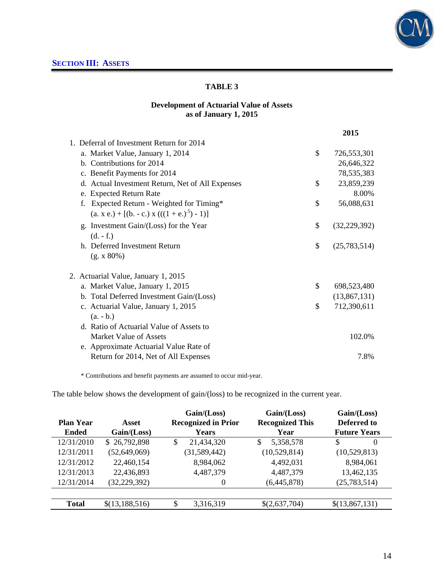

### **Development of Actuarial Value of Assets as of January 1, 2015**

|                                                  | 2015                 |
|--------------------------------------------------|----------------------|
| 1. Deferral of Investment Return for 2014        |                      |
| a. Market Value, January 1, 2014                 | \$<br>726,553,301    |
| b. Contributions for 2014                        | 26,646,322           |
| c. Benefit Payments for 2014                     | 78,535,383           |
| d. Actual Investment Return, Net of All Expenses | \$<br>23,859,239     |
| e. Expected Return Rate                          | 8.00%                |
| Expected Return - Weighted for Timing*<br>f.     | \$<br>56,088,631     |
| $(a, x, e) + [(b, -c, x)((1 + e, b^{5}) - 1)]$   |                      |
| g. Investment Gain/(Loss) for the Year           | \$<br>(32, 229, 392) |
| $(d. - f.)$                                      |                      |
| h. Deferred Investment Return                    | \$<br>(25,783,514)   |
| (g. x 80%)                                       |                      |
| 2. Actuarial Value, January 1, 2015              |                      |
| a. Market Value, January 1, 2015                 | \$<br>698,523,480    |
| b. Total Deferred Investment Gain/(Loss)         | (13,867,131)         |
| c. Actuarial Value, January 1, 2015              | \$<br>712,390,611    |
| $(a. - b.)$                                      |                      |
| d. Ratio of Actuarial Value of Assets to         |                      |
| Market Value of Assets                           | 102.0%               |
| e. Approximate Actuarial Value Rate of           |                      |
| Return for 2014, Net of All Expenses             | 7.8%                 |

\* Contributions and benefit payments are assumed to occur mid-year.

The table below shows the development of gain/(loss) to be recognized in the current year.

|                  |                | Gain/(Loss)                | Gain/(Loss)            | Gain/(Loss)    |
|------------------|----------------|----------------------------|------------------------|----------------|
| <b>Plan Year</b> | Asset          | <b>Recognized in Prior</b> | <b>Recognized This</b> | Deferred to    |
| <b>Ended</b>     | Gain / (Loss)  | Years                      | Year                   |                |
| 12/31/2010       | \$26,792,898   | 21,434,320<br>\$           | 5,358,578<br>\$        | \$<br>$\theta$ |
| 12/31/2011       | (52, 649, 069) | (31, 589, 442)             | (10,529,814)           | (10,529,813)   |
| 12/31/2012       | 22,460,154     | 8,984,062                  | 4,492,031              | 8,984,061      |
| 12/31/2013       | 22,436,893     | 4,487,379                  | 4,487,379              | 13,462,135     |
| 12/31/2014       | (32, 229, 392) | $\Omega$                   | (6,445,878)            | (25, 783, 514) |
|                  |                |                            |                        |                |
| <b>Total</b>     | \$(13,188,516) | 3,316,319<br>\$            | \$(2,637,704)          | \$(13,867,131) |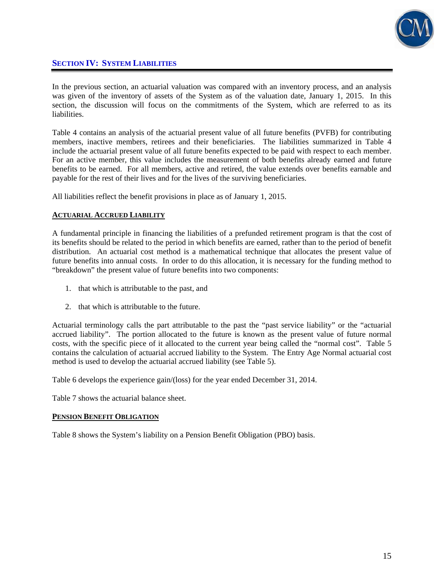

### **SECTION IV: SYSTEM LIABILITIES**

In the previous section, an actuarial valuation was compared with an inventory process, and an analysis was given of the inventory of assets of the System as of the valuation date, January 1, 2015. In this section, the discussion will focus on the commitments of the System, which are referred to as its liabilities.

Table 4 contains an analysis of the actuarial present value of all future benefits (PVFB) for contributing members, inactive members, retirees and their beneficiaries. The liabilities summarized in Table 4 include the actuarial present value of all future benefits expected to be paid with respect to each member. For an active member, this value includes the measurement of both benefits already earned and future benefits to be earned. For all members, active and retired, the value extends over benefits earnable and payable for the rest of their lives and for the lives of the surviving beneficiaries.

All liabilities reflect the benefit provisions in place as of January 1, 2015.

#### **ACTUARIAL ACCRUED LIABILITY**

A fundamental principle in financing the liabilities of a prefunded retirement program is that the cost of its benefits should be related to the period in which benefits are earned, rather than to the period of benefit distribution. An actuarial cost method is a mathematical technique that allocates the present value of future benefits into annual costs. In order to do this allocation, it is necessary for the funding method to "breakdown" the present value of future benefits into two components:

- 1. that which is attributable to the past, and
- 2. that which is attributable to the future.

Actuarial terminology calls the part attributable to the past the "past service liability" or the "actuarial accrued liability". The portion allocated to the future is known as the present value of future normal costs, with the specific piece of it allocated to the current year being called the "normal cost". Table 5 contains the calculation of actuarial accrued liability to the System. The Entry Age Normal actuarial cost method is used to develop the actuarial accrued liability (see Table 5).

Table 6 develops the experience gain/(loss) for the year ended December 31, 2014.

Table 7 shows the actuarial balance sheet.

#### **PENSION BENEFIT OBLIGATION**

Table 8 shows the System's liability on a Pension Benefit Obligation (PBO) basis.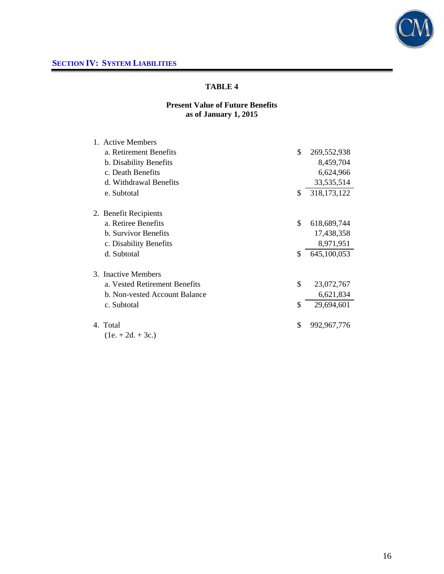

# **Present Value of Future Benefits as of January 1, 2015**

| 1. Active Members             |                     |
|-------------------------------|---------------------|
| a. Retirement Benefits        | \$<br>269,552,938   |
| b. Disability Benefits        | 8,459,704           |
| c. Death Benefits             | 6,624,966           |
| d. Withdrawal Benefits        | 33,535,514          |
| e. Subtotal                   | \$<br>318, 173, 122 |
| 2. Benefit Recipients         |                     |
| a. Retiree Benefits           | \$<br>618,689,744   |
| <b>b.</b> Survivor Benefits   | 17,438,358          |
| c. Disability Benefits        | 8,971,951           |
| d. Subtotal                   | \$<br>645,100,053   |
| 3. Inactive Members           |                     |
| a. Vested Retirement Benefits | \$<br>23,072,767    |
| b. Non-vested Account Balance | 6,621,834           |
| c. Subtotal                   | \$<br>29,694,601    |
| 4. Total                      | \$<br>992, 967, 776 |
| $(1e. + 2d. + 3c.)$           |                     |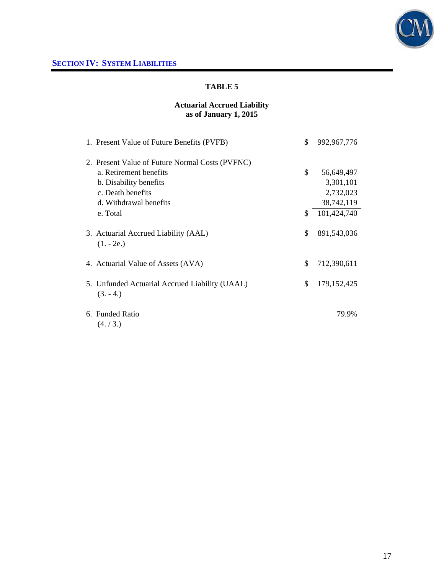

# **Actuarial Accrued Liability as of January 1, 2015**

| 1. Present Value of Future Benefits (PVFB)                   | \$<br>992, 967, 776 |
|--------------------------------------------------------------|---------------------|
| 2. Present Value of Future Normal Costs (PVFNC)              |                     |
| a. Retirement benefits                                       | \$<br>56,649,497    |
| b. Disability benefits                                       | 3,301,101           |
| c. Death benefits                                            | 2,732,023           |
| d. Withdrawal benefits                                       | 38,742,119          |
| e. Total                                                     | \$<br>101,424,740   |
| 3. Actuarial Accrued Liability (AAL)<br>$(1. - 2e.)$         | \$<br>891,543,036   |
| 4. Actuarial Value of Assets (AVA)                           | \$<br>712,390,611   |
| 5. Unfunded Actuarial Accrued Liability (UAAL)<br>$(3. -4.)$ | \$<br>179, 152, 425 |
| 6. Funded Ratio<br>(4./3.)                                   | 79.9%               |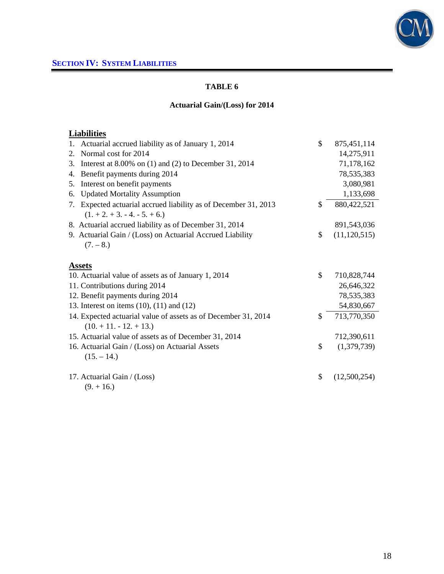

# **Actuarial Gain/(Loss) for 2014**

# **Liabilities**

| Actuarial accrued liability as of January 1, 2014<br>1.                                               | \$  | 875,451,114    |
|-------------------------------------------------------------------------------------------------------|-----|----------------|
| Normal cost for 2014<br>2.                                                                            |     | 14,275,911     |
| Interest at $8.00\%$ on (1) and (2) to December 31, 2014<br>3.                                        |     | 71,178,162     |
| Benefit payments during 2014<br>4.                                                                    |     | 78,535,383     |
| Interest on benefit payments<br>5.                                                                    |     | 3,080,981      |
| <b>Updated Mortality Assumption</b><br>6.                                                             |     | 1,133,698      |
| Expected actuarial accrued liability as of December 31, 2013<br>7.<br>$(1. + 2. + 3. - 4. - 5. + 6.)$ | \$. | 880,422,521    |
| 8. Actuarial accrued liability as of December 31, 2014                                                |     | 891,543,036    |
| 9. Actuarial Gain / (Loss) on Actuarial Accrued Liability                                             | \$  | (11, 120, 515) |
| $(7. - 8.)$                                                                                           |     |                |
| <b>Assets</b>                                                                                         |     |                |
| 10. Actuarial value of assets as of January 1, 2014                                                   | \$  | 710,828,744    |
| 11. Contributions during 2014                                                                         |     | 26,646,322     |
| 12. Benefit payments during 2014                                                                      |     | 78,535,383     |
| 13. Interest on items $(10)$ , $(11)$ and $(12)$                                                      |     | 54,830,667     |
| 14. Expected actuarial value of assets as of December 31, 2014<br>$(10. + 11. - 12. + 13.)$           | \$  | 713,770,350    |
| 15. Actuarial value of assets as of December 31, 2014                                                 |     | 712,390,611    |
| 16. Actuarial Gain / (Loss) on Actuarial Assets<br>$(15. - 14.)$                                      | \$  | (1,379,739)    |
| 17. Actuarial Gain / (Loss)<br>$(9. + 16.)$                                                           | \$  | (12,500,254)   |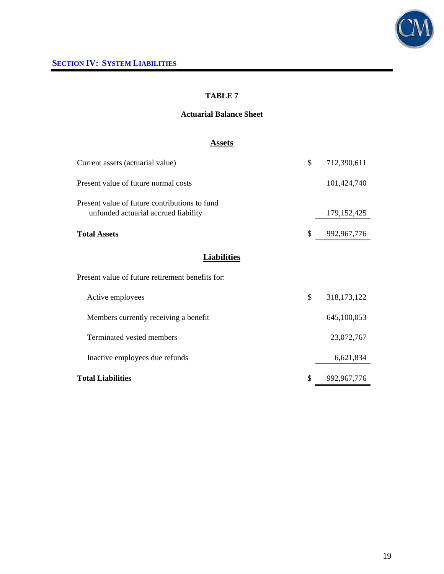

### **Actuarial Balance Sheet**

# **Assets**

| Current assets (actuarial value)                                                      | \$<br>712,390,611   |
|---------------------------------------------------------------------------------------|---------------------|
| Present value of future normal costs                                                  | 101,424,740         |
| Present value of future contributions to fund<br>unfunded actuarial accrued liability | 179, 152, 425       |
| <b>Total Assets</b>                                                                   | \$<br>992, 967, 776 |
| <b>Liabilities</b>                                                                    |                     |
| Present value of future retirement benefits for:                                      |                     |
| Active employees                                                                      | \$<br>318, 173, 122 |
| Members currently receiving a benefit                                                 | 645,100,053         |
| Terminated vested members                                                             | 23,072,767          |
| Inactive employees due refunds                                                        | 6,621,834           |
| <b>Total Liabilities</b>                                                              | \$<br>992, 967, 776 |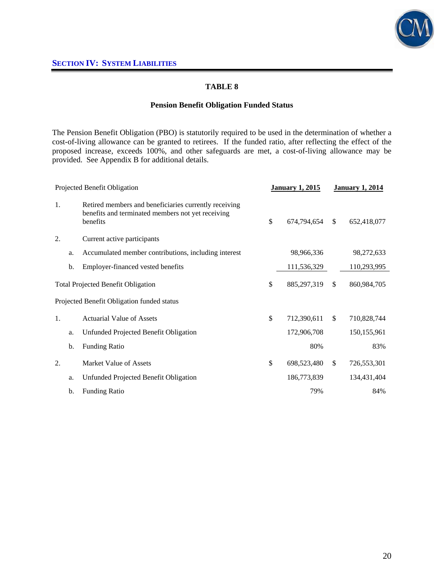

### **Pension Benefit Obligation Funded Status**

The Pension Benefit Obligation (PBO) is statutorily required to be used in the determination of whether a cost-of-living allowance can be granted to retirees. If the funded ratio, after reflecting the effect of the proposed increase, exceeds 100%, and other safeguards are met, a cost-of-living allowance may be provided. See Appendix B for additional details.

|                                           | Projected Benefit Obligation |                                                                                                                        |             | <b>January 1, 2015</b> | <b>January 1, 2014</b> |             |
|-------------------------------------------|------------------------------|------------------------------------------------------------------------------------------------------------------------|-------------|------------------------|------------------------|-------------|
| 1.                                        |                              | Retired members and beneficiaries currently receiving<br>benefits and terminated members not yet receiving<br>benefits | \$          | 674,794,654            | <sup>\$</sup>          | 652,418,077 |
| 2.                                        |                              | Current active participants                                                                                            |             |                        |                        |             |
|                                           | a.                           | Accumulated member contributions, including interest                                                                   |             | 98,966,336             |                        | 98,272,633  |
|                                           | b.                           | Employer-financed vested benefits                                                                                      |             | 111,536,329            |                        | 110,293,995 |
| <b>Total Projected Benefit Obligation</b> |                              | \$                                                                                                                     | 885,297,319 | $\mathbb{S}$           | 860,984,705            |             |
|                                           |                              | Projected Benefit Obligation funded status                                                                             |             |                        |                        |             |
| 1.                                        |                              | <b>Actuarial Value of Assets</b>                                                                                       | \$          | 712,390,611            | <sup>\$</sup>          | 710,828,744 |
|                                           | a.                           | Unfunded Projected Benefit Obligation                                                                                  |             | 172,906,708            |                        | 150,155,961 |
|                                           | b.                           | <b>Funding Ratio</b>                                                                                                   |             | 80%                    |                        | 83%         |
| 2.                                        |                              | <b>Market Value of Assets</b>                                                                                          | \$          | 698,523,480            | $\mathbb{S}$           | 726,553,301 |
|                                           | a.                           | Unfunded Projected Benefit Obligation                                                                                  |             | 186,773,839            |                        | 134,431,404 |
|                                           | b.                           | <b>Funding Ratio</b>                                                                                                   |             | 79%                    |                        | 84%         |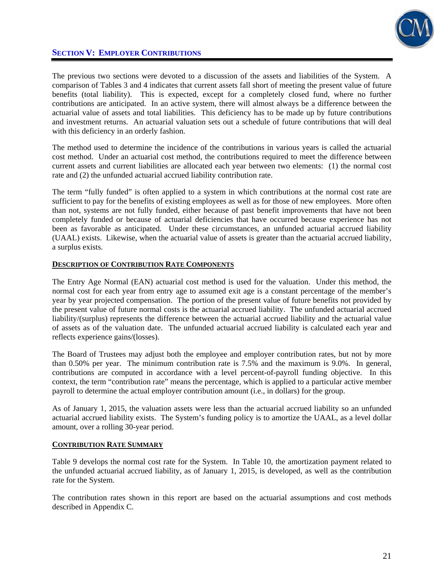

The previous two sections were devoted to a discussion of the assets and liabilities of the System. A comparison of Tables 3 and 4 indicates that current assets fall short of meeting the present value of future benefits (total liability). This is expected, except for a completely closed fund, where no further contributions are anticipated. In an active system, there will almost always be a difference between the actuarial value of assets and total liabilities. This deficiency has to be made up by future contributions and investment returns. An actuarial valuation sets out a schedule of future contributions that will deal with this deficiency in an orderly fashion.

The method used to determine the incidence of the contributions in various years is called the actuarial cost method. Under an actuarial cost method, the contributions required to meet the difference between current assets and current liabilities are allocated each year between two elements: (1) the normal cost rate and (2) the unfunded actuarial accrued liability contribution rate.

The term "fully funded" is often applied to a system in which contributions at the normal cost rate are sufficient to pay for the benefits of existing employees as well as for those of new employees. More often than not, systems are not fully funded, either because of past benefit improvements that have not been completely funded or because of actuarial deficiencies that have occurred because experience has not been as favorable as anticipated. Under these circumstances, an unfunded actuarial accrued liability (UAAL) exists. Likewise, when the actuarial value of assets is greater than the actuarial accrued liability, a surplus exists.

#### **DESCRIPTION OF CONTRIBUTION RATE COMPONENTS**

The Entry Age Normal (EAN) actuarial cost method is used for the valuation. Under this method, the normal cost for each year from entry age to assumed exit age is a constant percentage of the member's year by year projected compensation. The portion of the present value of future benefits not provided by the present value of future normal costs is the actuarial accrued liability. The unfunded actuarial accrued liability/(surplus) represents the difference between the actuarial accrued liability and the actuarial value of assets as of the valuation date. The unfunded actuarial accrued liability is calculated each year and reflects experience gains/(losses).

The Board of Trustees may adjust both the employee and employer contribution rates, but not by more than 0.50% per year. The minimum contribution rate is 7.5% and the maximum is 9.0%. In general, contributions are computed in accordance with a level percent-of-payroll funding objective. In this context, the term "contribution rate" means the percentage, which is applied to a particular active member payroll to determine the actual employer contribution amount (i.e., in dollars) for the group.

As of January 1, 2015, the valuation assets were less than the actuarial accrued liability so an unfunded actuarial accrued liability exists. The System's funding policy is to amortize the UAAL, as a level dollar amount, over a rolling 30-year period.

#### **CONTRIBUTION RATE SUMMARY**

Table 9 develops the normal cost rate for the System. In Table 10, the amortization payment related to the unfunded actuarial accrued liability, as of January 1, 2015, is developed, as well as the contribution rate for the System.

The contribution rates shown in this report are based on the actuarial assumptions and cost methods described in Appendix C.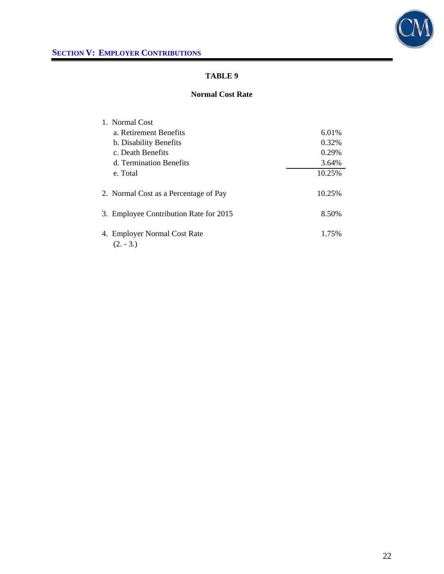

#### **Normal Cost Rate**

| 1. Normal Cost                              |                                        |        |
|---------------------------------------------|----------------------------------------|--------|
| a. Retirement Benefits                      |                                        | 6.01%  |
| b. Disability Benefits                      |                                        | 0.32%  |
| c. Death Benefits                           |                                        | 0.29%  |
| d. Termination Benefits                     |                                        | 3.64%  |
| e. Total                                    |                                        | 10.25% |
| 2. Normal Cost as a Percentage of Pay       |                                        | 10.25% |
|                                             | 3. Employee Contribution Rate for 2015 | 8.50%  |
| 4. Employer Normal Cost Rate<br>$(2. - 3.)$ |                                        | 1.75%  |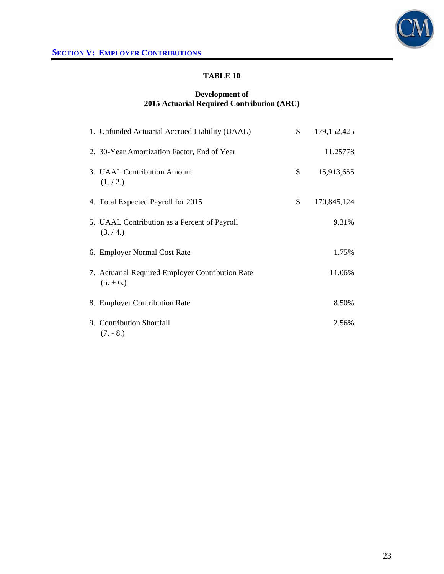

#### **Development of 2015 Actuarial Required Contribution (ARC)**

| 1. Unfunded Actuarial Accrued Liability (UAAL)                  | \$<br>179, 152, 425 |
|-----------------------------------------------------------------|---------------------|
| 2. 30-Year Amortization Factor, End of Year                     | 11.25778            |
| 3. UAAL Contribution Amount<br>(1./2.)                          | \$<br>15,913,655    |
| 4. Total Expected Payroll for 2015                              | \$<br>170,845,124   |
| 5. UAAL Contribution as a Percent of Payroll<br>(3./4.)         | 9.31%               |
| 6. Employer Normal Cost Rate                                    | 1.75%               |
| 7. Actuarial Required Employer Contribution Rate<br>$(5. + 6.)$ | 11.06%              |
| 8. Employer Contribution Rate                                   | 8.50%               |
| 9. Contribution Shortfall<br>$(7. - 8.)$                        | 2.56%               |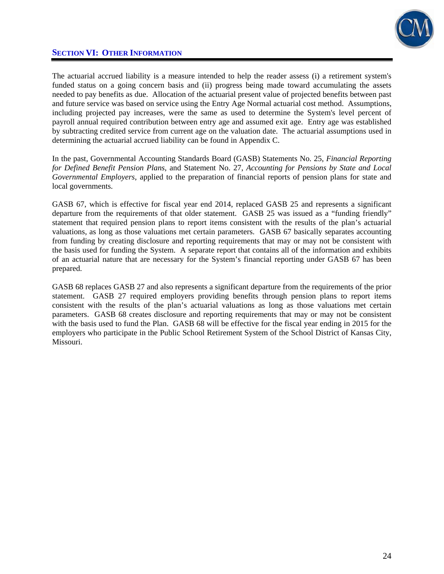

### **SECTION VI: OTHER INFORMATION**

The actuarial accrued liability is a measure intended to help the reader assess (i) a retirement system's funded status on a going concern basis and (ii) progress being made toward accumulating the assets needed to pay benefits as due. Allocation of the actuarial present value of projected benefits between past and future service was based on service using the Entry Age Normal actuarial cost method. Assumptions, including projected pay increases, were the same as used to determine the System's level percent of payroll annual required contribution between entry age and assumed exit age. Entry age was established by subtracting credited service from current age on the valuation date. The actuarial assumptions used in determining the actuarial accrued liability can be found in Appendix C.

In the past, Governmental Accounting Standards Board (GASB) Statements No. 25, *Financial Reporting for Defined Benefit Pension Plans*, and Statement No. 27, *Accounting for Pensions by State and Local Governmental Employers*, applied to the preparation of financial reports of pension plans for state and local governments.

GASB 67, which is effective for fiscal year end 2014, replaced GASB 25 and represents a significant departure from the requirements of that older statement. GASB 25 was issued as a "funding friendly" statement that required pension plans to report items consistent with the results of the plan's actuarial valuations, as long as those valuations met certain parameters. GASB 67 basically separates accounting from funding by creating disclosure and reporting requirements that may or may not be consistent with the basis used for funding the System. A separate report that contains all of the information and exhibits of an actuarial nature that are necessary for the System's financial reporting under GASB 67 has been prepared.

GASB 68 replaces GASB 27 and also represents a significant departure from the requirements of the prior statement. GASB 27 required employers providing benefits through pension plans to report items consistent with the results of the plan's actuarial valuations as long as those valuations met certain parameters. GASB 68 creates disclosure and reporting requirements that may or may not be consistent with the basis used to fund the Plan. GASB 68 will be effective for the fiscal year ending in 2015 for the employers who participate in the Public School Retirement System of the School District of Kansas City, Missouri.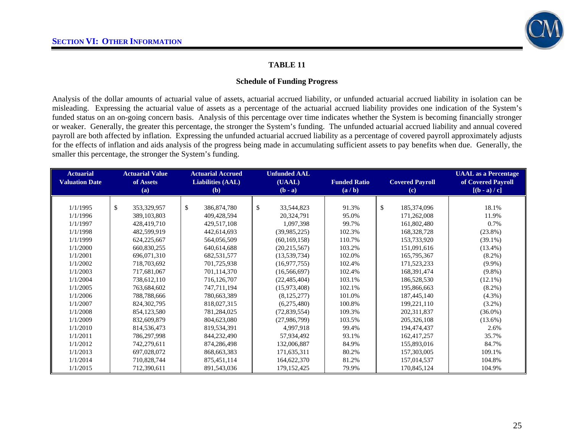

#### **Schedule of Funding Progress**

Analysis of the dollar amounts of actuarial value of assets, actuarial accrued liability, or unfunded actuarial accrued liability in isolation can be misleading. Expressing the actuarial value of assets as a percentage of the actuarial accrued liability provides one indication of the System's funded status on an on-going concern basis. Analysis of this percentage over time indicates whether the System is becoming financially stronger or weaker. Generally, the greater this percentage, the stronger the System's funding. The unfunded actuarial accrued liability and annual covered payroll are both affected by inflation. Expressing the unfunded actuarial accrued liability as a percentage of covered payroll approximately adjusts for the effects of inflation and aids analysis of the progress being made in accumulating sufficient assets to pay benefits when due. Generally, the smaller this percentage, the stronger the System's funding.

| <b>Actuarial</b>      | <b>Actuarial Value</b>      | <b>Actuarial Accrued</b>    | <b>Unfunded AAL</b>        |                     |                             | <b>UAAL</b> as a Percentage |
|-----------------------|-----------------------------|-----------------------------|----------------------------|---------------------|-----------------------------|-----------------------------|
| <b>Valuation Date</b> | of Assets                   | <b>Liabilities (AAL)</b>    | (UAAL)                     | <b>Funded Ratio</b> | <b>Covered Payroll</b>      | of Covered Payroll          |
|                       | (a)                         | (b)                         | $(b - a)$                  | (a/b)               | $\left( \mathbf{c} \right)$ | $[(b - a)/c]$               |
|                       |                             |                             |                            |                     |                             |                             |
| 1/1/1995              | $\mathbb{S}$<br>353,329,957 | $\mathbb{S}$<br>386,874,780 | $\mathbb{S}$<br>33,544,823 | 91.3%               | $\mathbb{S}$<br>185,374,096 | 18.1%                       |
| 1/1/1996              | 389, 103, 803               | 409,428,594                 | 20,324,791                 | 95.0%               | 171,262,008                 | 11.9%                       |
| 1/1/1997              | 428,419,710                 | 429,517,108                 | 1,097,398                  | 99.7%               | 161,802,480                 | 0.7%                        |
| 1/1/1998              | 482,599,919                 | 442,614,693                 | (39,985,225)               | 102.3%              | 168,328,728                 | $(23.8\%)$                  |
| 1/1/1999              | 624, 225, 667               | 564,056,509                 | (60, 169, 158)             | 110.7%              | 153,733,920                 | $(39.1\%)$                  |
| 1/1/2000              | 660,830,255                 | 640,614,688                 | (20, 215, 567)             | 103.2%              | 151,091,616                 | $(13.4\%)$                  |
| 1/1/2001              | 696,071,310                 | 682,531,577                 | (13,539,734)               | 102.0%              | 165,795,367                 | $(8.2\%)$                   |
| 1/1/2002              | 718,703,692                 | 701,725,938                 | (16,977,755)               | 102.4%              | 171,523,233                 | $(9.9\%)$                   |
| 1/1/2003              | 717,681,067                 | 701,114,370                 | (16, 566, 697)             | 102.4%              | 168,391,474                 | $(9.8\%)$                   |
| 1/1/2004              | 738,612,110                 | 716, 126, 707               | (22, 485, 404)             | 103.1%              | 186,528,530                 | $(12.1\%)$                  |
| 1/1/2005              | 763,684,602                 | 747,711,194                 | (15,973,408)               | 102.1%              | 195,866,663                 | $(8.2\%)$                   |
| 1/1/2006              | 788,788,666                 | 780,663,389                 | (8, 125, 277)              | 101.0%              | 187,445,140                 | $(4.3\%)$                   |
| 1/1/2007              | 824, 302, 795               | 818,027,315                 | (6,275,480)                | 100.8%              | 199,221,110                 | $(3.2\%)$                   |
| 1/1/2008              | 854,123,580                 | 781,284,025                 | (72,839,554)               | 109.3%              | 202, 311, 837               | $(36.0\%)$                  |
| 1/1/2009              | 832,609,879                 | 804,623,080                 | (27,986,799)               | 103.5%              | 205, 326, 108               | $(13.6\%)$                  |
| 1/1/2010              | 814,536,473                 | 819,534,391                 | 4,997,918                  | 99.4%               | 194,474,437                 | 2.6%                        |
| 1/1/2011              | 786,297,998                 | 844,232,490                 | 57,934,492                 | 93.1%               | 162,417,257                 | 35.7%                       |
| 1/1/2012              | 742,279,611                 | 874,286,498                 | 132,006,887                | 84.9%               | 155,893,016                 | 84.7%                       |
| 1/1/2013              | 697.028.072                 | 868, 663, 383               | 171,635,311                | 80.2%               | 157,303,005                 | 109.1%                      |
| 1/1/2014              | 710,828,744                 | 875,451,114                 | 164,622,370                | 81.2%               | 157,014,537                 | 104.8%                      |
| 1/1/2015              | 712,390,611                 | 891,543,036                 | 179, 152, 425              | 79.9%               | 170,845,124                 | 104.9%                      |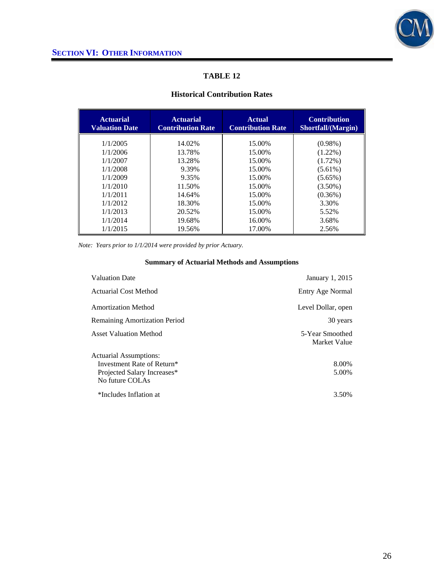

### **Historical Contribution Rates**

| <b>Actuarial</b><br><b>Valuation Date</b> | <b>Actuarial</b><br><b>Contribution Rate</b> | <b>Actual</b><br><b>Contribution Rate</b> | <b>Contribution</b><br>Shortfall/(Margin) |
|-------------------------------------------|----------------------------------------------|-------------------------------------------|-------------------------------------------|
| 1/1/2005                                  | 14.02%                                       | 15.00%                                    | $(0.98\%)$                                |
| 1/1/2006                                  | 13.78%                                       | 15.00%                                    | $(1.22\%)$                                |
| 1/1/2007                                  | 13.28%                                       | 15.00%                                    | $(1.72\%)$                                |
| 1/1/2008                                  | 9.39%                                        | 15.00%                                    | $(5.61\%)$                                |
| 1/1/2009                                  | 9.35%                                        | 15.00%                                    | $(5.65\%)$                                |
| 1/1/2010                                  | 11.50%                                       | 15.00%                                    | $(3.50\%)$                                |
| 1/1/2011                                  | 14.64%                                       | 15.00%                                    | $(0.36\%)$                                |
| 1/1/2012                                  | 18.30%                                       | 15.00%                                    | 3.30%                                     |
| 1/1/2013                                  | 20.52%                                       | 15.00%                                    | 5.52%                                     |
| 1/1/2014                                  | 19.68%                                       | 16.00%                                    | 3.68%                                     |
| 1/1/2015                                  | 19.56%                                       | 17.00%                                    | 2.56%                                     |

*Note: Years prior to 1/1/2014 were provided by prior Actuary.* 

### **Summary of Actuarial Methods and Assumptions**

| <b>Valuation Date</b>                | January 1, 2015                 |
|--------------------------------------|---------------------------------|
| <b>Actuarial Cost Method</b>         | Entry Age Normal                |
| <b>Amortization Method</b>           | Level Dollar, open              |
| <b>Remaining Amortization Period</b> | 30 years                        |
| <b>Asset Valuation Method</b>        | 5-Year Smoothed<br>Market Value |
| Actuarial Assumptions:               |                                 |
| Investment Rate of Return*           | 8.00%                           |
| Projected Salary Increases*          | 5.00%                           |
| No future COLAs                      |                                 |
| *Includes Inflation at               | 3.50%                           |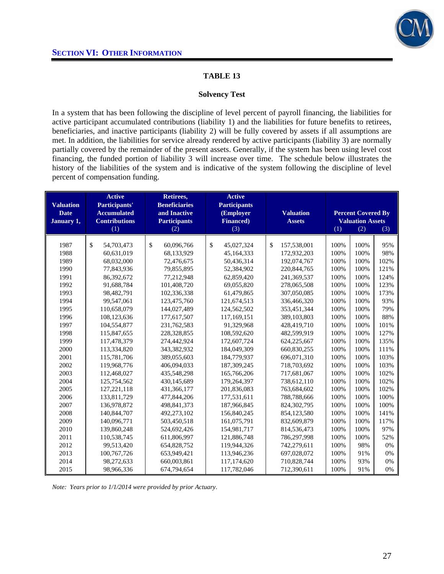

#### **Solvency Test**

In a system that has been following the discipline of level percent of payroll financing, the liabilities for active participant accumulated contributions (liability 1) and the liabilities for future benefits to retirees, beneficiaries, and inactive participants (liability 2) will be fully covered by assets if all assumptions are met. In addition, the liabilities for service already rendered by active participants (liability 3) are normally partially covered by the remainder of the present assets. Generally, if the system has been using level cost financing, the funded portion of liability 3 will increase over time. The schedule below illustrates the history of the liabilities of the system and is indicative of the system following the discipline of level percent of compensation funding.

|                  | <b>Active</b>        | Retirees,            | <b>Active</b>       |                  |      |                           |      |
|------------------|----------------------|----------------------|---------------------|------------------|------|---------------------------|------|
| <b>Valuation</b> | Participants'        | <b>Beneficiaries</b> | <b>Participants</b> |                  |      |                           |      |
| <b>Date</b>      | <b>Accumulated</b>   | and Inactive         | (Employer           | <b>Valuation</b> |      | <b>Percent Covered By</b> |      |
| January 1,       | <b>Contributions</b> | <b>Participants</b>  | <b>Financed</b> )   | <b>Assets</b>    |      | <b>Valuation Assets</b>   |      |
|                  | (1)                  | (2)                  | (3)                 |                  | (1)  | (2)                       | (3)  |
| 1987             |                      | \$                   | \$                  | \$               |      |                           | 95%  |
|                  | \$<br>54,703,473     | 60,096,766           | 45,027,324          | 157,538,001      | 100% | 100%                      |      |
| 1988             | 60,631,019           | 68,133,929           | 45,164,333          | 172,932,203      | 100% | 100%                      | 98%  |
| 1989             | 68,032,000           | 72,476,675           | 50,436,314          | 192,074,767      | 100% | 100%                      | 102% |
| 1990             | 77,843,936           | 79,855,895           | 52,384,902          | 220, 844, 765    | 100% | 100%                      | 121% |
| 1991             | 86,392,672           | 77,212,948           | 62,859,420          | 241,369,537      | 100% | 100%                      | 124% |
| 1992             | 91,688,784           | 101,408,720          | 69,055,820          | 278,065,508      | 100% | 100%                      | 123% |
| 1993             | 98,482,791           | 102,336,338          | 61,479,865          | 307,050,085      | 100% | 100%                      | 173% |
| 1994             | 99,547,061           | 123,475,760          | 121,674,513         | 336,466,320      | 100% | 100%                      | 93%  |
| 1995             | 110,658,079          | 144,027,489          | 124,562,502         | 353,451,344      | 100% | 100%                      | 79%  |
| 1996             | 108,123,636          | 177,617,507          | 117,169,151         | 389,103,803      | 100% | 100%                      | 88%  |
| 1997             | 104,554,877          | 231,762,583          | 91,329,968          | 428,419,710      | 100% | 100%                      | 101% |
| 1998             | 115,847,655          | 228,328,855          | 108,592,620         | 482,599,919      | 100% | 100%                      | 127% |
| 1999             | 117,478,379          | 274,442,924          | 172,607,724         | 624,225,667      | 100% | 100%                      | 135% |
| 2000             | 113,334,820          | 343,382,932          | 184,049,309         | 660,830,255      | 100% | 100%                      | 111% |
| 2001             | 115,781,706          | 389,055,603          | 184,779,937         | 696,071,310      | 100% | 100%                      | 103% |
| 2002             | 119,968,776          | 406,094,033          | 187, 309, 245       | 718,703,692      | 100% | 100%                      | 103% |
| 2003             | 112,468,027          | 435,548,298          | 165,766,206         | 717,681,067      | 100% | 100%                      | 102% |
| 2004             | 125,754,562          | 430,145,689          | 179,264,397         | 738,612,110      | 100% | 100%                      | 102% |
| 2005             | 127, 221, 118        | 431,366,177          | 201,836,083         | 763,684,602      | 100% | 100%                      | 102% |
| 2006             | 133,811,729          | 477,844,206          | 177,531,611         | 788,788,666      | 100% | 100%                      | 100% |
| 2007             | 136,978,872          | 498,841,373          | 187,966,845         | 824,302,795      | 100% | 100%                      | 100% |
| 2008             | 140,844,707          | 492,273,102          | 156,840,245         | 854,123,580      | 100% | 100%                      | 141% |
| 2009             | 140,096,771          | 503,450,518          | 161,075,791         | 832,609,879      | 100% | 100%                      | 117% |
| 2010             | 139,860,248          | 524,692,426          | 154,981,717         | 814,536,473      | 100% | 100%                      | 97%  |
| 2011             | 110,538,745          | 611,806,997          | 121,886,748         | 786,297,998      | 100% | 100%                      | 52%  |
| 2012             | 99,513,420           | 654,828,752          | 119,944,326         | 742,279,611      | 100% | 98%                       | 0%   |
| 2013             | 100,767,726          | 653,949,421          | 113,946,236         | 697,028,072      | 100% | 91%                       | 0%   |
| 2014             | 98,272,633           | 660,003,861          | 117,174,620         | 710,828,744      | 100% | 93%                       | 0%   |
| 2015             | 98,966,336           | 674,794,654          | 117,782,046         | 712,390,611      | 100% | 91%                       | 0%   |

*Note: Years prior to 1/1/2014 were provided by prior Actuary*.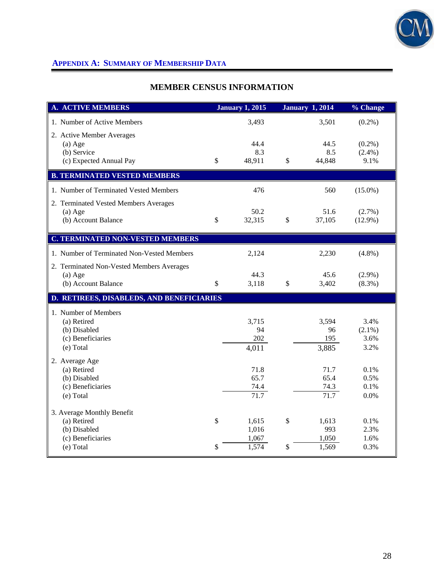

# **MEMBER CENSUS INFORMATION**

| <b>A. ACTIVE MEMBERS</b>                               |               | <b>January 1, 2015</b> |              | <b>January 1, 2014</b> | % Change          |
|--------------------------------------------------------|---------------|------------------------|--------------|------------------------|-------------------|
| 1. Number of Active Members                            |               | 3,493                  |              | 3,501                  | $(0.2\%)$         |
| 2. Active Member Averages                              |               |                        |              |                        |                   |
| $(a)$ Age                                              |               | 44.4                   |              | 44.5                   | $(0.2\%)$         |
| (b) Service                                            |               | 8.3                    |              | 8.5                    | $(2.4\%)$         |
| (c) Expected Annual Pay                                | \$            | 48,911                 | $\mathbb{S}$ | 44,848                 | 9.1%              |
| <b>B. TERMINATED VESTED MEMBERS</b>                    |               |                        |              |                        |                   |
| 1. Number of Terminated Vested Members                 |               | 476                    |              | 560                    | $(15.0\%)$        |
| 2. Terminated Vested Members Averages                  |               |                        |              |                        |                   |
| $(a)$ Age                                              |               | 50.2                   |              | 51.6                   | $(2.7\%)$         |
| (b) Account Balance                                    | \$            | 32,315                 | \$           | 37,105                 | $(12.9\%)$        |
| <b>C. TERMINATED NON-VESTED MEMBERS</b>                |               |                        |              |                        |                   |
| 1. Number of Terminated Non-Vested Members             |               | 2,124                  |              | 2,230                  | $(4.8\%)$         |
|                                                        |               |                        |              |                        |                   |
| 2. Terminated Non-Vested Members Averages<br>$(a)$ Age |               | 44.3                   |              | 45.6                   | $(2.9\%)$         |
| (b) Account Balance                                    | $\mathcal{S}$ | 3,118                  | \$           | 3,402                  | $(8.3\%)$         |
|                                                        |               |                        |              |                        |                   |
| D. RETIREES, DISABLEDS, AND BENEFICIARIES              |               |                        |              |                        |                   |
| 1. Number of Members                                   |               |                        |              |                        |                   |
| (a) Retired                                            |               | 3,715                  |              | 3,594                  | 3.4%              |
| (b) Disabled<br>(c) Beneficiaries                      |               | 94<br>202              |              | 96<br>195              | $(2.1\%)$<br>3.6% |
| (e) Total                                              |               | 4,011                  |              | 3,885                  | 3.2%              |
|                                                        |               |                        |              |                        |                   |
| 2. Average Age<br>(a) Retired                          |               | 71.8                   |              | 71.7                   | 0.1%              |
| (b) Disabled                                           |               | 65.7                   |              | 65.4                   | 0.5%              |
| (c) Beneficiaries                                      |               | 74.4                   |              | 74.3                   | 0.1%              |
| (e) Total                                              |               | 71.7                   |              | 71.7                   | 0.0%              |
| 3. Average Monthly Benefit                             |               |                        |              |                        |                   |
| (a) Retired                                            | \$            | 1,615                  | \$           | 1,613                  | 0.1%              |
| (b) Disabled                                           |               | 1,016                  |              | 993                    | 2.3%              |
| (c) Beneficiaries                                      |               | 1,067                  |              | 1,050                  | 1.6%              |
| (e) Total                                              | \$            | 1,574                  | \$           | 1,569                  | 0.3%              |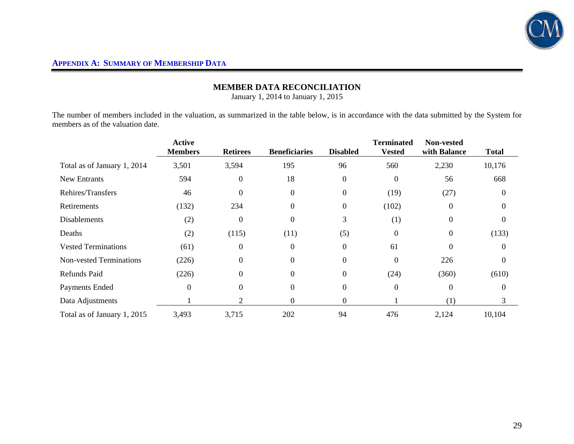

### **MEMBER DATA RECONCILIATION**

January 1, 2014 to January 1, 2015

The number of members included in the valuation, as summarized in the table below, is in accordance with the data submitted by the System for members as of the valuation date.

|                                | <b>Active</b><br><b>Members</b> | <b>Retirees</b> | <b>Beneficiaries</b> | <b>Disabled</b>  | <b>Terminated</b><br><b>Vested</b> | <b>Non-vested</b><br>with Balance | <b>Total</b> |
|--------------------------------|---------------------------------|-----------------|----------------------|------------------|------------------------------------|-----------------------------------|--------------|
| Total as of January 1, 2014    | 3,501                           | 3,594           | 195                  | 96               | 560                                | 2,230                             | 10,176       |
| <b>New Entrants</b>            | 594                             | $\theta$        | 18                   | $\boldsymbol{0}$ | $\Omega$                           | 56                                | 668          |
| Rehires/Transfers              | 46                              | $\Omega$        | $\theta$             | $\mathbf{0}$     | (19)                               | (27)                              | $\Omega$     |
| Retirements                    | (132)                           | 234             | 0                    | $\boldsymbol{0}$ | (102)                              | $\Omega$                          | 0            |
| <b>Disablements</b>            | (2)                             | $\Omega$        | $\Omega$             | 3                | (1)                                | $\Omega$                          | 0            |
| Deaths                         | (2)                             | (115)           | (11)                 | (5)              | $\Omega$                           | $\Omega$                          | (133)        |
| <b>Vested Terminations</b>     | (61)                            | $\Omega$        | 0                    | $\boldsymbol{0}$ | 61                                 | $\Omega$                          | $\Omega$     |
| <b>Non-vested Terminations</b> | (226)                           | $\Omega$        | $\Omega$             | $\boldsymbol{0}$ | $\Omega$                           | 226                               | $\Omega$     |
| <b>Refunds Paid</b>            | (226)                           | $\Omega$        | $\Omega$             | $\boldsymbol{0}$ | (24)                               | (360)                             | (610)        |
| Payments Ended                 | $\mathbf{0}$                    | $\Omega$        | 0                    | $\boldsymbol{0}$ | $\overline{0}$                     | $\theta$                          | 0            |
| Data Adjustments               |                                 | っ               | 0                    | $\boldsymbol{0}$ |                                    | (1)                               | 3            |
| Total as of January 1, 2015    | 3,493                           | 3,715           | 202                  | 94               | 476                                | 2,124                             | 10,104       |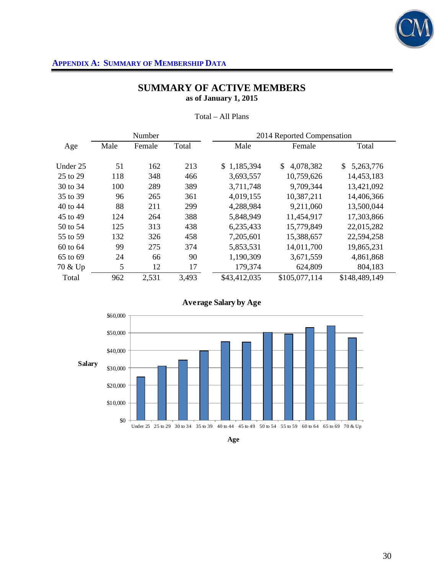

# **SUMMARY OF ACTIVE MEMBERS as of January 1, 2015**

|          |      | Number |       | 2014 Reported Compensation |                           |                 |
|----------|------|--------|-------|----------------------------|---------------------------|-----------------|
| Age      | Male | Female | Total | Male                       | Female                    | Total           |
| Under 25 | 51   | 162    | 213   | 1,185,394<br>SS.           | $\mathbb{S}$<br>4,078,382 | 5,263,776<br>\$ |
| 25 to 29 | 118  | 348    | 466   | 3,693,557                  | 10,759,626                | 14,453,183      |
| 30 to 34 | 100  | 289    | 389   | 3,711,748                  | 9,709,344                 | 13,421,092      |
| 35 to 39 | 96   | 265    | 361   | 4,019,155                  | 10,387,211                | 14,406,366      |
| 40 to 44 | 88   | 211    | 299   | 4,288,984                  | 9,211,060                 | 13,500,044      |
| 45 to 49 | 124  | 264    | 388   | 5,848,949                  | 11,454,917                | 17,303,866      |
| 50 to 54 | 125  | 313    | 438   | 6,235,433                  | 15,779,849                | 22,015,282      |
| 55 to 59 | 132  | 326    | 458   | 7,205,601                  | 15,388,657                | 22,594,258      |
| 60 to 64 | 99   | 275    | 374   | 5,853,531                  | 14,011,700                | 19,865,231      |
| 65 to 69 | 24   | 66     | 90    | 1,190,309                  | 3,671,559                 | 4,861,868       |
| 70 & Up  | 5    | 12     | 17    | 179,374                    | 624,809                   | 804,183         |
| Total    | 962  | 2,531  | 3,493 | \$43,412,035               | \$105,077,114             | \$148,489,149   |

#### Total – All Plans





**Age**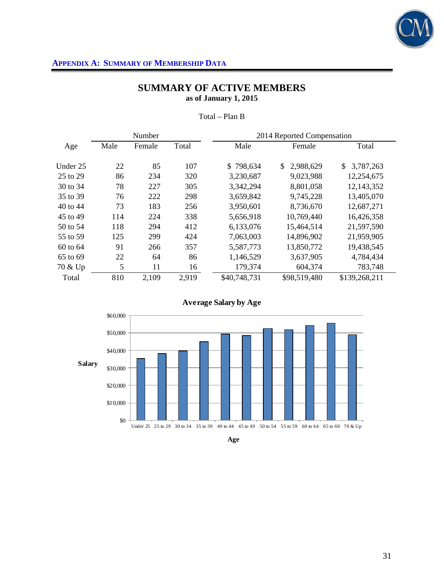

# **SUMMARY OF ACTIVE MEMBERS as of January 1, 2015**

|          |      | Number |       | 2014 Reported Compensation |                 |                 |
|----------|------|--------|-------|----------------------------|-----------------|-----------------|
| Age      | Male | Female | Total | Male                       | Female          | Total           |
| Under 25 | 22   | 85     | 107   | \$798,634                  | \$<br>2,988,629 | 3,787,263<br>\$ |
| 25 to 29 | 86   | 234    | 320   | 3,230,687                  | 9,023,988       | 12,254,675      |
| 30 to 34 | 78   | 227    | 305   | 3,342,294                  | 8,801,058       | 12,143,352      |
| 35 to 39 | 76   | 222    | 298   | 3,659,842                  | 9,745,228       | 13,405,070      |
| 40 to 44 | 73   | 183    | 256   | 3,950,601                  | 8,736,670       | 12,687,271      |
| 45 to 49 | 114  | 224    | 338   | 5,656,918                  | 10,769,440      | 16,426,358      |
| 50 to 54 | 118  | 294    | 412   | 6,133,076                  | 15,464,514      | 21,597,590      |
| 55 to 59 | 125  | 299    | 424   | 7,063,003                  | 14,896,902      | 21,959,905      |
| 60 to 64 | 91   | 266    | 357   | 5,587,773                  | 13,850,772      | 19,438,545      |
| 65 to 69 | 22   | 64     | 86    | 1,146,529                  | 3,637,905       | 4,784,434       |
| 70 & Up  | 5    | 11     | 16    | 179,374                    | 604,374         | 783,748         |
| Total    | 810  | 2,109  | 2,919 | \$40,748,731               | \$98,519,480    | \$139,268,211   |

#### Total – Plan B



#### **Average Salary by Age**

**Age**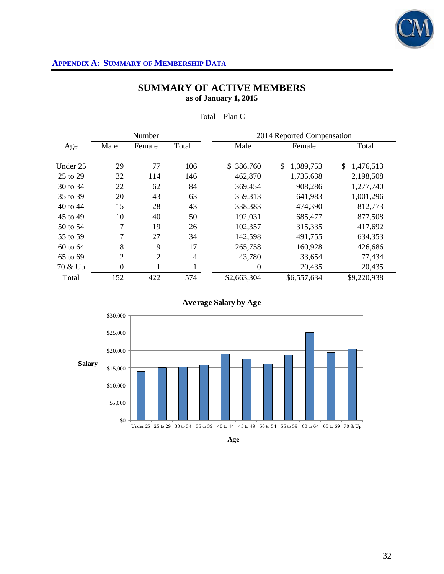

# **SUMMARY OF ACTIVE MEMBERS as of January 1, 2015**

|          | Number           |                |                | 2014 Reported Compensation |                 |                 |
|----------|------------------|----------------|----------------|----------------------------|-----------------|-----------------|
| Age      | Male             | Female         | Total          | Male                       | Female          | Total           |
| Under 25 | 29               | 77             | 106            | \$386,760                  | \$<br>1,089,753 | \$<br>1,476,513 |
| 25 to 29 | 32               | 114            | 146            | 462,870                    | 1,735,638       | 2,198,508       |
| 30 to 34 | 22               | 62             | 84             | 369,454                    | 908,286         | 1,277,740       |
| 35 to 39 | 20               | 43             | 63             | 359,313                    | 641,983         | 1,001,296       |
| 40 to 44 | 15               | 28             | 43             | 338,383                    | 474,390         | 812,773         |
| 45 to 49 | 10               | 40             | 50             | 192,031                    | 685,477         | 877,508         |
| 50 to 54 | 7                | 19             | 26             | 102,357                    | 315,335         | 417,692         |
| 55 to 59 | 7                | 27             | 34             | 142,598                    | 491,755         | 634,353         |
| 60 to 64 | 8                | 9              | 17             | 265,758                    | 160,928         | 426,686         |
| 65 to 69 | 2                | $\overline{2}$ | $\overline{4}$ | 43,780                     | 33,654          | 77,434          |
| 70 & Up  | $\boldsymbol{0}$ | 1              | ı              | $\boldsymbol{0}$           | 20,435          | 20,435          |
| Total    | 152              | 422            | 574            | \$2,663,304                | \$6,557,634     | \$9,220,938     |

Total – Plan C





**Age**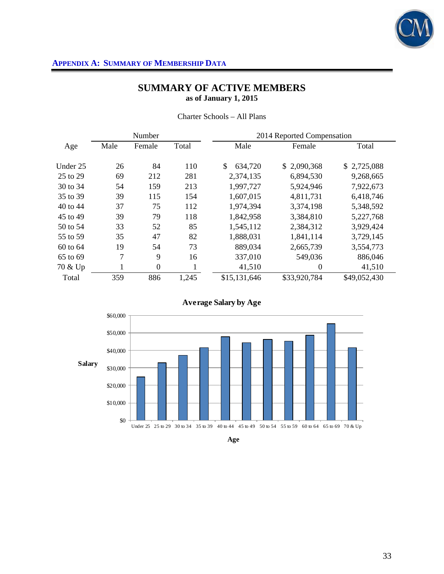

# **SUMMARY OF ACTIVE MEMBERS as of January 1, 2015**

Charter Schools – All Plans

|          |      | Number         |       | 2014 Reported Compensation |              |              |  |  |  |  |  |
|----------|------|----------------|-------|----------------------------|--------------|--------------|--|--|--|--|--|
| Age      | Male | Female         | Total | Male                       | Female       | Total        |  |  |  |  |  |
|          |      |                |       |                            |              |              |  |  |  |  |  |
| Under 25 | 26   | 84             | 110   | \$<br>634,720              | \$2,090,368  | \$2,725,088  |  |  |  |  |  |
| 25 to 29 | 69   | 212            | 281   | 2,374,135                  | 6,894,530    | 9,268,665    |  |  |  |  |  |
| 30 to 34 | 54   | 159            | 213   | 1,997,727                  | 5,924,946    | 7,922,673    |  |  |  |  |  |
| 35 to 39 | 39   | 115            | 154   | 1,607,015                  | 4,811,731    | 6,418,746    |  |  |  |  |  |
| 40 to 44 | 37   | 75             | 112   | 1,974,394                  | 3,374,198    | 5,348,592    |  |  |  |  |  |
| 45 to 49 | 39   | 79             | 118   | 1,842,958                  | 3,384,810    | 5,227,768    |  |  |  |  |  |
| 50 to 54 | 33   | 52             | 85    | 1,545,112                  | 2,384,312    | 3,929,424    |  |  |  |  |  |
| 55 to 59 | 35   | 47             | 82    | 1,888,031                  | 1,841,114    | 3,729,145    |  |  |  |  |  |
| 60 to 64 | 19   | 54             | 73    | 889,034                    | 2,665,739    | 3,554,773    |  |  |  |  |  |
| 65 to 69 | 7    | 9              | 16    | 337,010                    | 549,036      | 886,046      |  |  |  |  |  |
| 70 & Up  | 1    | $\overline{0}$ | Ŧ.    | 41,510                     | $\theta$     | 41,510       |  |  |  |  |  |
| Total    | 359  | 886            | 1,245 | \$15,131,646               | \$33,920,784 | \$49,052,430 |  |  |  |  |  |





**Age**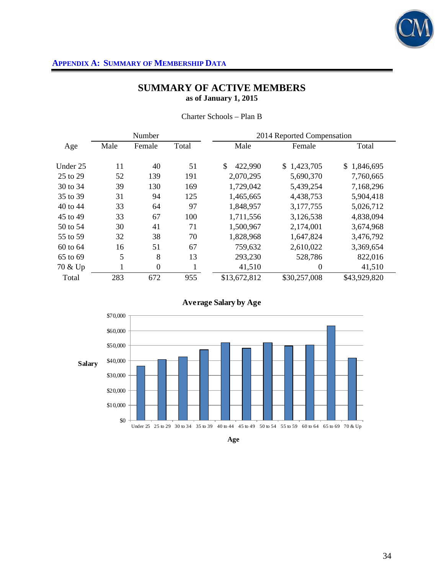

# **SUMMARY OF ACTIVE MEMBERS as of January 1, 2015**

|  |  | Charter Schools – Plan B |
|--|--|--------------------------|
|--|--|--------------------------|

|          |      | Number         |       | 2014 Reported Compensation |                  |                 |  |  |  |  |  |
|----------|------|----------------|-------|----------------------------|------------------|-----------------|--|--|--|--|--|
| Age      | Male | Female         | Total | Male                       | Female           | Total           |  |  |  |  |  |
|          |      |                |       |                            |                  |                 |  |  |  |  |  |
| Under 25 | 11   | 40             | 51    | \$<br>422,990              | \$1,423,705      | 1,846,695<br>\$ |  |  |  |  |  |
| 25 to 29 | 52   | 139            | 191   | 2,070,295                  | 5,690,370        | 7,760,665       |  |  |  |  |  |
| 30 to 34 | 39   | 130            | 169   | 1,729,042                  | 5,439,254        | 7,168,296       |  |  |  |  |  |
| 35 to 39 | 31   | 94             | 125   | 1,465,665                  | 4,438,753        | 5,904,418       |  |  |  |  |  |
| 40 to 44 | 33   | 64             | 97    | 1,848,957                  | 3,177,755        | 5,026,712       |  |  |  |  |  |
| 45 to 49 | 33   | 67             | 100   | 1,711,556                  | 3,126,538        | 4,838,094       |  |  |  |  |  |
| 50 to 54 | 30   | 41             | 71    | 1,500,967                  | 2,174,001        | 3,674,968       |  |  |  |  |  |
| 55 to 59 | 32   | 38             | 70    | 1,828,968                  | 1,647,824        | 3,476,792       |  |  |  |  |  |
| 60 to 64 | 16   | 51             | 67    | 759,632                    | 2,610,022        | 3,369,654       |  |  |  |  |  |
| 65 to 69 | 5    | 8              | 13    | 293,230                    | 528,786          | 822,016         |  |  |  |  |  |
| 70 & Up  | 1    | $\overline{0}$ | ı     | 41,510                     | $\boldsymbol{0}$ | 41,510          |  |  |  |  |  |
| Total    | 283  | 672            | 955   | \$13,672,812               | \$30,257,008     | \$43,929,820    |  |  |  |  |  |





**Age**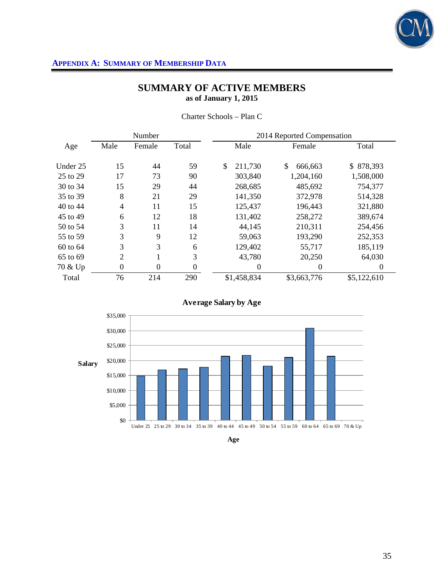

# **SUMMARY OF ACTIVE MEMBERS as of January 1, 2015**

|          |                | Number         |          | 2014 Reported Compensation |             |    |                |  |             |  |
|----------|----------------|----------------|----------|----------------------------|-------------|----|----------------|--|-------------|--|
| Age      | Male           | Female         | Total    |                            | Male        |    | Female         |  | Total       |  |
| Under 25 | 15             | 44             | 59       | \$                         | 211,730     | \$ | 666,663        |  | \$878,393   |  |
| 25 to 29 | 17             | 73             | 90       |                            | 303,840     |    | 1,204,160      |  | 1,508,000   |  |
| 30 to 34 | 15             | 29             | 44       |                            | 268,685     |    | 485,692        |  | 754,377     |  |
| 35 to 39 | 8              | 21             | 29       |                            | 141,350     |    | 372,978        |  | 514,328     |  |
| 40 to 44 | $\overline{4}$ | 11             | 15       |                            | 125,437     |    | 196,443        |  | 321,880     |  |
| 45 to 49 | 6              | 12             | 18       |                            | 131,402     |    | 258,272        |  | 389,674     |  |
| 50 to 54 | 3              | 11             | 14       |                            | 44,145      |    | 210,311        |  | 254,456     |  |
| 55 to 59 | 3              | 9              | 12       |                            | 59,063      |    | 193,290        |  | 252,353     |  |
| 60 to 64 | 3              | 3              | 6        |                            | 129,402     |    | 55,717         |  | 185,119     |  |
| 65 to 69 | 2              |                | 3        |                            | 43,780      |    | 20,250         |  | 64,030      |  |
| 70 & Up  | $\theta$       | $\overline{0}$ | $\theta$ |                            | 0           |    | $\overline{0}$ |  | 0           |  |
| Total    | 76             | 214            | 290      |                            | \$1,458,834 |    | \$3,663,776    |  | \$5,122,610 |  |

Charter Schools – Plan C



**Average Salary by Age**

**Age**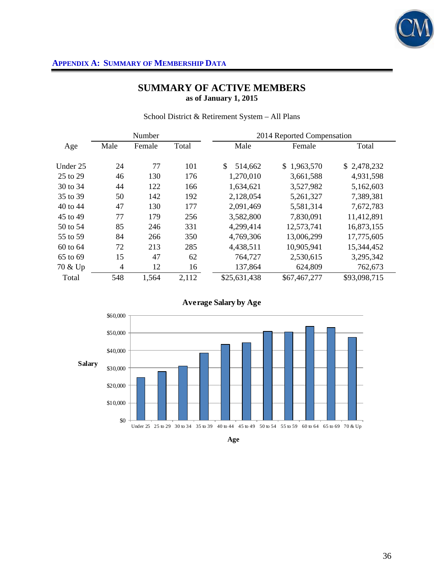

# **SUMMARY OF ACTIVE MEMBERS as of January 1, 2015**

|          |                | Number |       | 2014 Reported Compensation |              |              |  |  |  |
|----------|----------------|--------|-------|----------------------------|--------------|--------------|--|--|--|
| Age      | Male           | Female | Total | Male                       | Female       | Total        |  |  |  |
| Under 25 | 24             | 77     | 101   | \$<br>514,662              | \$1,963,570  | \$2,478,232  |  |  |  |
| 25 to 29 | 46             | 130    | 176   | 1,270,010                  | 3,661,588    | 4,931,598    |  |  |  |
| 30 to 34 | 44             | 122    | 166   | 1,634,621                  | 3,527,982    | 5,162,603    |  |  |  |
| 35 to 39 | 50             | 142    | 192   | 2,128,054                  | 5,261,327    | 7,389,381    |  |  |  |
| 40 to 44 | 47             | 130    | 177   | 2,091,469                  | 5,581,314    | 7,672,783    |  |  |  |
| 45 to 49 | 77             | 179    | 256   | 3,582,800                  | 7,830,091    | 11,412,891   |  |  |  |
| 50 to 54 | 85             | 246    | 331   | 4,299,414                  | 12,573,741   | 16,873,155   |  |  |  |
| 55 to 59 | 84             | 266    | 350   | 4,769,306                  | 13,006,299   | 17,775,605   |  |  |  |
| 60 to 64 | 72             | 213    | 285   | 4,438,511                  | 10,905,941   | 15,344,452   |  |  |  |
| 65 to 69 | 15             | 47     | 62    | 764,727                    | 2,530,615    | 3,295,342    |  |  |  |
| 70 & Up  | $\overline{4}$ | 12     | 16    | 137,864                    | 624,809      | 762,673      |  |  |  |
| Total    | 548            | 1,564  | 2,112 | \$25,631,438               | \$67,467,277 | \$93,098,715 |  |  |  |

School District & Retirement System – All Plans





**Age**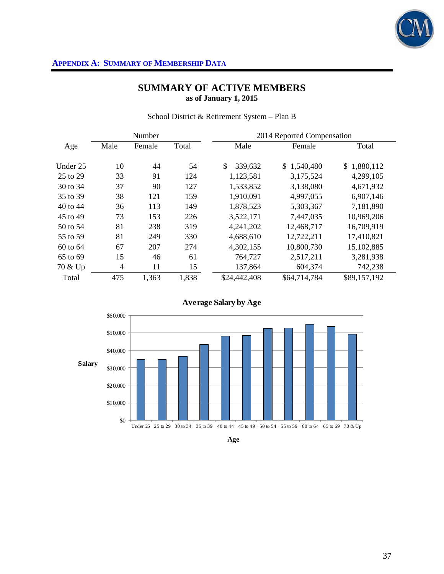

# **SUMMARY OF ACTIVE MEMBERS as of January 1, 2015**

|          |                | Number |       | 2014 Reported Compensation |              |              |  |  |  |
|----------|----------------|--------|-------|----------------------------|--------------|--------------|--|--|--|
| Age      | Male           | Female | Total | Male                       | Female       | Total        |  |  |  |
| Under 25 | 10             | 44     | 54    | \$<br>339,632              | \$1,540,480  | \$1,880,112  |  |  |  |
| 25 to 29 | 33             | 91     | 124   | 1,123,581                  | 3,175,524    | 4,299,105    |  |  |  |
| 30 to 34 | 37             | 90     | 127   | 1,533,852                  | 3,138,080    | 4,671,932    |  |  |  |
| 35 to 39 | 38             | 121    | 159   | 1,910,091                  | 4,997,055    | 6,907,146    |  |  |  |
| 40 to 44 | 36             | 113    | 149   | 1,878,523                  | 5,303,367    | 7,181,890    |  |  |  |
| 45 to 49 | 73             | 153    | 226   | 3,522,171                  | 7,447,035    | 10,969,206   |  |  |  |
| 50 to 54 | 81             | 238    | 319   | 4,241,202                  | 12,468,717   | 16,709,919   |  |  |  |
| 55 to 59 | 81             | 249    | 330   | 4,688,610                  | 12,722,211   | 17,410,821   |  |  |  |
| 60 to 64 | 67             | 207    | 274   | 4,302,155                  | 10,800,730   | 15,102,885   |  |  |  |
| 65 to 69 | 15             | 46     | 61    | 764,727                    | 2,517,211    | 3,281,938    |  |  |  |
| 70 & Up  | $\overline{4}$ | 11     | 15    | 137,864                    | 604,374      | 742,238      |  |  |  |
| Total    | 475            | 1,363  | 1,838 | \$24,442,408               | \$64,714,784 | \$89,157,192 |  |  |  |

School District & Retirement System – Plan B



### **Average Salary by Age**

**Age**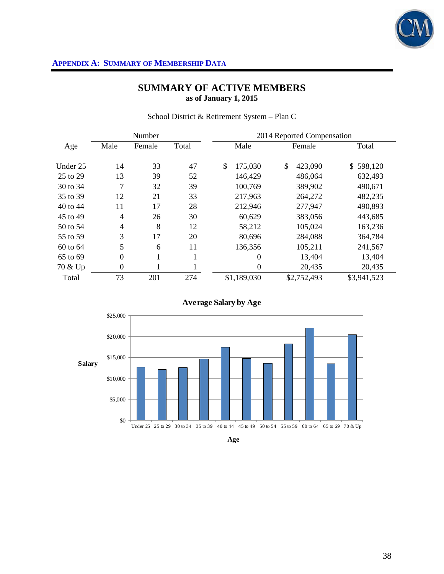

# **SUMMARY OF ACTIVE MEMBERS as of January 1, 2015**

|          |                  | Number |       | 2014 Reported Compensation |               |                |  |  |  |
|----------|------------------|--------|-------|----------------------------|---------------|----------------|--|--|--|
| Age      | Male<br>Female   |        | Total | Male                       | Female        | Total          |  |  |  |
| Under 25 | 14               | 33     | 47    | \$<br>175,030              | \$<br>423,090 | 598,120<br>\$. |  |  |  |
| 25 to 29 | 13               | 39     | 52    | 146,429                    | 486,064       | 632,493        |  |  |  |
| 30 to 34 | 7                | 32     | 39    | 100,769                    | 389,902       | 490,671        |  |  |  |
| 35 to 39 | 12               | 21     | 33    | 217,963                    | 264,272       | 482,235        |  |  |  |
| 40 to 44 | 11               | 17     | 28    | 212,946                    | 277,947       | 490,893        |  |  |  |
| 45 to 49 | $\overline{4}$   | 26     | 30    | 60,629                     | 383,056       | 443,685        |  |  |  |
| 50 to 54 | $\overline{4}$   | 8      | 12    | 58,212                     | 105,024       | 163,236        |  |  |  |
| 55 to 59 | 3                | 17     | 20    | 80,696                     | 284,088       | 364,784        |  |  |  |
| 60 to 64 | 5                | 6      | 11    | 136,356                    | 105,211       | 241,567        |  |  |  |
| 65 to 69 | $\boldsymbol{0}$ | 1      | 1     | $\theta$                   | 13,404        | 13,404         |  |  |  |
| 70 & Up  | $\overline{0}$   | 1      |       | $\theta$                   | 20,435        | 20,435         |  |  |  |
| Total    | 73               | 201    | 274   | \$1,189,030                | \$2,752,493   | \$3,941,523    |  |  |  |

School District & Retirement System – Plan C





**Age**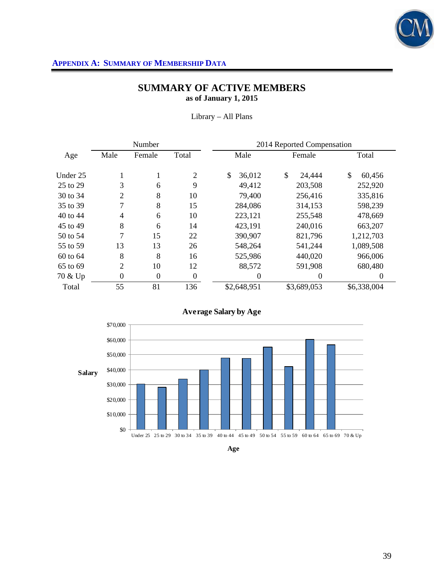

# **SUMMARY OF ACTIVE MEMBERS as of January 1, 2015**

Library – All Plans

|          |                | Number         |          | 2014 Reported Compensation |              |              |  |  |  |
|----------|----------------|----------------|----------|----------------------------|--------------|--------------|--|--|--|
| Age      | Male           | Female         | Total    | Male                       | Female       | Total        |  |  |  |
| Under 25 |                | 1              | 2        | \$<br>36,012               | \$<br>24,444 | \$<br>60,456 |  |  |  |
| 25 to 29 | 3              | 6              | 9        | 49,412                     | 203,508      | 252,920      |  |  |  |
| 30 to 34 | $\overline{2}$ | 8              | 10       | 79,400                     | 256,416      | 335,816      |  |  |  |
| 35 to 39 | 7              | 8              | 15       | 284,086                    | 314,153      | 598,239      |  |  |  |
| 40 to 44 | $\overline{4}$ | 6              | 10       | 223,121                    | 255,548      | 478,669      |  |  |  |
| 45 to 49 | 8              | 6              | 14       | 423,191                    | 240,016      | 663,207      |  |  |  |
| 50 to 54 | 7              | 15             | 22       | 390,907                    | 821,796      | 1,212,703    |  |  |  |
| 55 to 59 | 13             | 13             | 26       | 548,264                    | 541,244      | 1,089,508    |  |  |  |
| 60 to 64 | 8              | 8              | 16       | 525,986                    | 440,020      | 966,006      |  |  |  |
| 65 to 69 | $\overline{2}$ | 10             | 12       | 88,572                     | 591,908      | 680,480      |  |  |  |
| 70 & Up  | $\overline{0}$ | $\overline{0}$ | $\theta$ | $\theta$                   | $\Omega$     | 0            |  |  |  |
| Total    | 55             | 81             | 136      | \$2,648,951                | \$3,689,053  | \$6,338,004  |  |  |  |



### **Average Salary by Age**

**Age**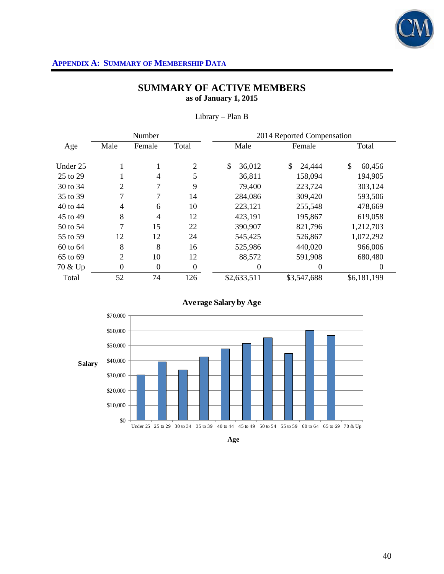

# **SUMMARY OF ACTIVE MEMBERS as of January 1, 2015**

|          |                | Number   |                  | 2014 Reported Compensation |                |              |  |  |  |
|----------|----------------|----------|------------------|----------------------------|----------------|--------------|--|--|--|
| Age      | Male           | Female   | Total            | Male                       | Female         | Total        |  |  |  |
| Under 25 |                | T.       | 2                | \$<br>36,012               | \$<br>24,444   | \$<br>60,456 |  |  |  |
| 25 to 29 |                | 4        | 5                | 36,811                     | 158,094        | 194,905      |  |  |  |
| 30 to 34 | $\overline{2}$ | 7        | 9                | 79,400                     | 223,724        | 303,124      |  |  |  |
| 35 to 39 | 7              | 7        | 14               | 284,086                    | 309,420        | 593,506      |  |  |  |
| 40 to 44 | $\overline{4}$ | 6        | 10               | 223,121                    | 255,548        | 478,669      |  |  |  |
| 45 to 49 | 8              | 4        | 12               | 423,191                    | 195,867        | 619,058      |  |  |  |
| 50 to 54 | 7              | 15       | 22               | 390,907                    | 821,796        | 1,212,703    |  |  |  |
| 55 to 59 | 12             | 12       | 24               | 545,425                    | 526,867        | 1,072,292    |  |  |  |
| 60 to 64 | 8              | 8        | 16               | 525,986                    | 440,020        | 966,006      |  |  |  |
| 65 to 69 | $\overline{2}$ | 10       | 12               | 88,572                     | 591,908        | 680,480      |  |  |  |
| 70 & Up  | $\theta$       | $\theta$ | $\boldsymbol{0}$ | 0                          | $\overline{0}$ | 0            |  |  |  |
| Total    | 52             | 74       | 126              | \$2,633,511                | \$3,547,688    | \$6,181,199  |  |  |  |

Library – Plan B





**Age**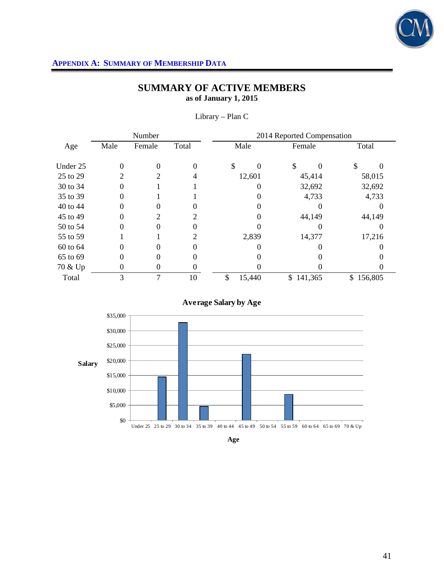

# **SUMMARY OF ACTIVE MEMBERS as of January 1, 2015**

|          |                | Number   |          | 2014 Reported Compensation |        |        |         |        |         |  |  |  |  |  |  |
|----------|----------------|----------|----------|----------------------------|--------|--------|---------|--------|---------|--|--|--|--|--|--|
| Age      | Male           | Female   | Total    |                            | Male   | Female |         | Total  |         |  |  |  |  |  |  |
| Under 25 | $\theta$       | $\Omega$ | $\Omega$ | \$                         | 0      | \$     |         | \$     |         |  |  |  |  |  |  |
| 25 to 29 | 2              | 2        | 4        |                            | 12,601 |        | 45,414  |        | 58,015  |  |  |  |  |  |  |
| 30 to 34 | 0              |          |          |                            | 0      |        | 32,692  | 32,692 |         |  |  |  |  |  |  |
| 35 to 39 | 0              |          |          |                            |        |        | 4,733   | 4,733  |         |  |  |  |  |  |  |
| 40 to 44 | 0              | 0        |          |                            |        |        |         |        |         |  |  |  |  |  |  |
| 45 to 49 | 0              | っ        | 2        |                            |        |        | 44,149  |        | 44,149  |  |  |  |  |  |  |
| 50 to 54 | 0              | 0        |          |                            |        |        |         |        |         |  |  |  |  |  |  |
| 55 to 59 |                |          | 2        |                            | 2,839  | 14,377 |         |        | 17,216  |  |  |  |  |  |  |
| 60 to 64 | 0              | 0        | 0        |                            |        |        |         |        |         |  |  |  |  |  |  |
| 65 to 69 | 0              | 0        | 0        |                            |        |        |         |        |         |  |  |  |  |  |  |
| 70 & Up  | $\overline{0}$ | 0        | 0        |                            |        |        |         |        |         |  |  |  |  |  |  |
| Total    | 3              | 7        | 10       | \$                         | 15,440 | \$     | 141,365 | \$     | 156,805 |  |  |  |  |  |  |

Library – Plan C





**Age**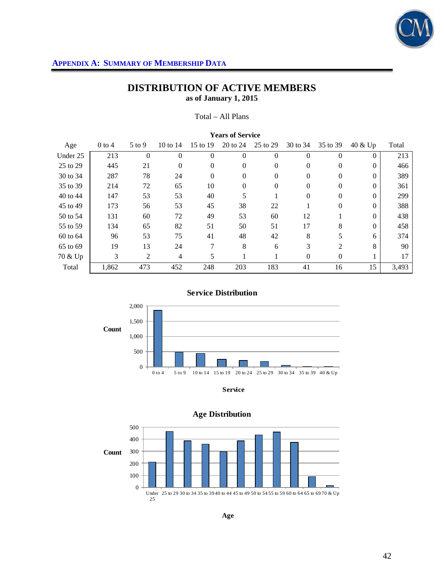

# **DISTRIBUTION OF ACTIVE MEMBERS as of January 1, 2015**

Total – All Plans

|          | <b>Years of Service</b> |          |                |              |          |          |          |                |          |       |  |  |
|----------|-------------------------|----------|----------------|--------------|----------|----------|----------|----------------|----------|-------|--|--|
| Age      | $0$ to 4                | $5$ to 9 | 10 to 14       | 15 to 19     | 20 to 24 | 25 to 29 | 30 to 34 | 35 to 39       | 40 & Up  | Total |  |  |
| Under 25 | 213                     | $\theta$ | $\theta$       | $\Omega$     | $\Omega$ | $\theta$ | $\Omega$ | $\Omega$       | $\Omega$ | 213   |  |  |
| 25 to 29 | 445                     | 21       | $\theta$       | $\theta$     | $\Omega$ | $\theta$ | $\Omega$ | $\mathbf{0}$   | $\Omega$ | 466   |  |  |
| 30 to 34 | 287                     | 78       | 24             | $\mathbf{0}$ | $\Omega$ | $\theta$ | 0        | 0              | $\Omega$ | 389   |  |  |
| 35 to 39 | 214                     | 72       | 65             | 10           | $\Omega$ | $\theta$ | $\Omega$ | $\Omega$       | $\Omega$ | 361   |  |  |
| 40 to 44 | 147                     | 53       | 53             | 40           | 5        |          | $\Omega$ | $\Omega$       | $\Omega$ | 299   |  |  |
| 45 to 49 | 173                     | 56       | 53             | 45           | 38       | 22       |          | $\theta$       | $\Omega$ | 388   |  |  |
| 50 to 54 | 131                     | 60       | 72             | 49           | 53       | 60       | 12       |                | $\Omega$ | 438   |  |  |
| 55 to 59 | 134                     | 65       | 82             | 51           | 50       | 51       | 17       | 8              | $\Omega$ | 458   |  |  |
| 60 to 64 | 96                      | 53       | 75             | 41           | 48       | 42       | 8        | 5              | 6        | 374   |  |  |
| 65 to 69 | 19                      | 13       | 24             | 7            | 8        | 6        | 3        | $\mathfrak{D}$ | 8        | 90    |  |  |
| 70 & Up  | 3                       | 2        | $\overline{4}$ | 5            |          |          | $\Omega$ | $\Omega$       |          | 17    |  |  |
| Total    | 1,862                   | 473      | 452            | 248          | 203      | 183      | 41       | 16             | 15       | 3,493 |  |  |



**Service Distribution**



### 0 100 200 300 400 500 Under 25 to 29 30 to 34 35 to 39 40 to 44 45 to 49 50 to 54 55 to 59 60 to 64 65 to 69 70 & Up 25 **Count**

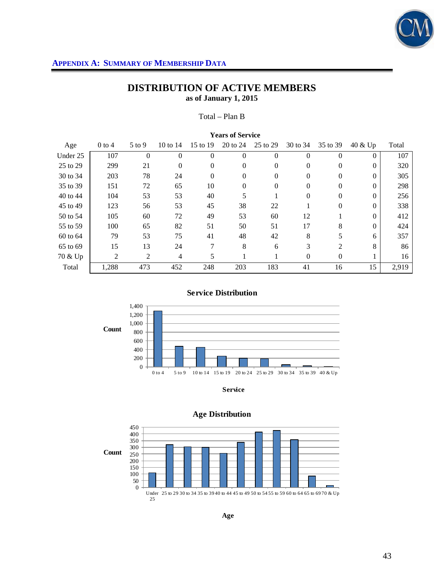

# **DISTRIBUTION OF ACTIVE MEMBERS as of January 1, 2015**

Total – Plan B

| <b>Years of Service</b> |          |          |                |          |          |                  |          |                |          |       |  |
|-------------------------|----------|----------|----------------|----------|----------|------------------|----------|----------------|----------|-------|--|
| Age                     | $0$ to 4 | 5 to 9   | 10 to $14$     | 15 to 19 | 20 to 24 | 25 to 29         | 30 to 34 | 35 to 39       | 40 & Up  | Total |  |
| Under 25                | 107      | $\theta$ | $\overline{0}$ | $\theta$ | $\theta$ | $\overline{0}$   | $\Omega$ | $\theta$       | 0        | 107   |  |
| 25 to 29                | 299      | 21       | $\Omega$       | $\Omega$ | $\Omega$ | $\overline{0}$   | $\Omega$ | $\Omega$       | $\Omega$ | 320   |  |
| 30 to 34                | 203      | 78       | 24             | $\Omega$ | $\Omega$ | $\theta$         | $\Omega$ | $\Omega$       | $\Omega$ | 305   |  |
| 35 to 39                | 151      | 72       | 65             | 10       | $\theta$ | $\boldsymbol{0}$ | $\Omega$ | $\overline{0}$ | $\Omega$ | 298   |  |
| 40 to 44                | 104      | 53       | 53             | 40       | 5        |                  | $\Omega$ | $\Omega$       | $\Omega$ | 256   |  |
| 45 to 49                | 123      | 56       | 53             | 45       | 38       | 22               |          | $\mathbf{0}$   | $\Omega$ | 338   |  |
| 50 to 54                | 105      | 60       | 72             | 49       | 53       | 60               | 12       |                | $\Omega$ | 412   |  |
| 55 to 59                | 100      | 65       | 82             | 51       | 50       | 51               | 17       | 8              | $\Omega$ | 424   |  |
| 60 to 64                | 79       | 53       | 75             | 41       | 48       | 42               | 8        | 5              | 6        | 357   |  |
| 65 to 69                | 15       | 13       | 24             | 7        | 8        | 6                | 3        | 2              | 8        | 86    |  |
| 70 & Up                 | 2        | 2        | $\overline{4}$ | 5        |          |                  | $\Omega$ | $\mathbf{0}$   |          | 16    |  |
| Total                   | 1,288    | 473      | 452            | 248      | 203      | 183              | 41       | 16             | 15       | 2,919 |  |

**Service Distribution**



**Service**



**Age**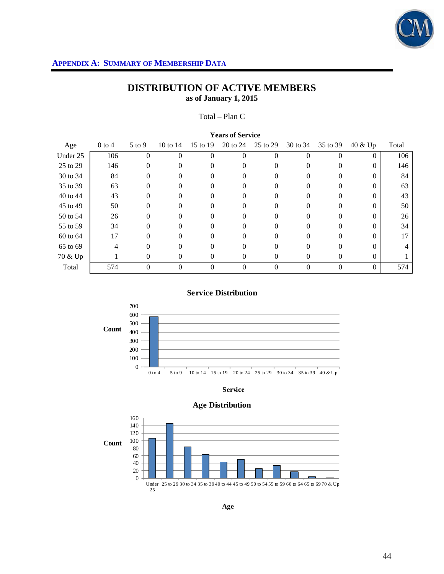

700

# **DISTRIBUTION OF ACTIVE MEMBERS as of January 1, 2015**

Total – Plan C

| <b>Years of Service</b> |          |          |          |                |          |                |          |          |          |       |  |
|-------------------------|----------|----------|----------|----------------|----------|----------------|----------|----------|----------|-------|--|
| Age                     | $0$ to 4 | $5$ to 9 | 10 to 14 | 15 to 19       | 20 to 24 | 25 to 29       | 30 to 34 | 35 to 39 | 40 & Up  | Total |  |
| Under 25                | 106      | 0        | 0        | $\theta$       | 0        | $\theta$       |          | $\Omega$ | $\Omega$ | 106   |  |
| 25 to 29                | 146      | 0        | 0        | $\Omega$       | $\Omega$ | 0              |          |          | $\Omega$ | 146   |  |
| 30 to 34                | 84       | 0        | 0        | $\Omega$       | $\Omega$ | 0              | $\Omega$ | 0        | $\Omega$ | 84    |  |
| 35 to 39                | 63       | 0        | 0        | 0              |          | 0              |          | 0        | 0        | 63    |  |
| 40 to 44                | 43       | 0        | 0        | 0              | 0        | 0              |          | 0        | $\Omega$ | 43    |  |
| 45 to 49                | 50       | 0        | 0        | 0              | 0        | $\Omega$       |          | 0        | $\Omega$ | 50    |  |
| 50 to 54                | 26       | 0        | 0        |                | 0        | 0              |          |          | 0        | 26    |  |
| 55 to 59                | 34       | 0        | 0        | $\Omega$       | 0        | 0              | $\Omega$ | 0        | $\Omega$ | 34    |  |
| 60 to 64                | 17       | 0        | 0        | 0              | 0        | $\theta$       |          | 0        | $\Omega$ | 17    |  |
| 65 to 69                | 4        | 0        |          |                | 0        | 0              |          |          | 0        | 4     |  |
| 70 & Up                 |          | $\theta$ | $\Omega$ | $\overline{0}$ | $\Omega$ | $\theta$       | $\Omega$ | $\Omega$ | $\Omega$ |       |  |
| Total                   | 574      | 0        | 0        | $\theta$       | $\theta$ | $\overline{0}$ | $\Omega$ | $\theta$ | $\theta$ | 574   |  |





**Service**

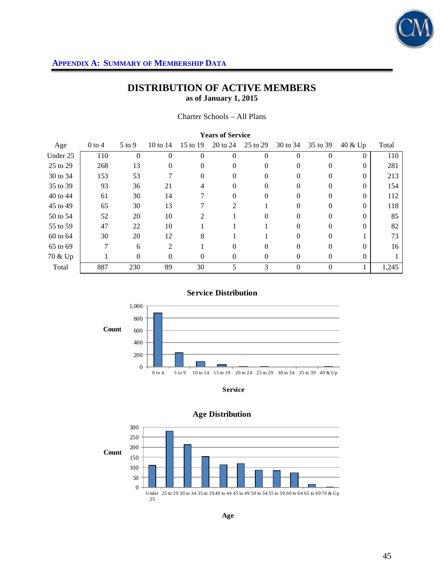

Charter Schools – All Plans

| <b>Years of Service</b> |          |          |                |          |          |          |          |          |          |       |  |  |
|-------------------------|----------|----------|----------------|----------|----------|----------|----------|----------|----------|-------|--|--|
| Age                     | $0$ to 4 | $5$ to 9 | 10 to $14$     | 15 to 19 | 20 to 24 | 25 to 29 | 30 to 34 | 35 to 39 | 40 & Up  | Total |  |  |
| Under 25                | 110      | $\Omega$ | 0              | $\theta$ | $\Omega$ | $\theta$ | 0        | $\Omega$ | $\Omega$ | 110   |  |  |
| 25 to 29                | 268      | 13       | 0              | 0        | $\Omega$ | $\theta$ | 0        | 0        | $\Omega$ | 281   |  |  |
| 30 to 34                | 153      | 53       |                | 0        | $\theta$ | 0        | $\Omega$ | 0        | $\Omega$ | 213   |  |  |
| 35 to 39                | 93       | 36       | 21             |          | $\Omega$ | 0        |          | $\Omega$ | $\Omega$ | 154   |  |  |
| 40 to 44                | 61       | 30       | 14             |          | $\Omega$ | $\theta$ | $\Omega$ | $\theta$ | $\Omega$ | 112   |  |  |
| 45 to 49                | 65       | 30       | 13             |          | 2        |          |          | 0        | $\Omega$ | 118   |  |  |
| 50 to 54                | 52       | 20       | 10             | 2        |          | 0        |          | $\Omega$ | $\Omega$ | 85    |  |  |
| 55 to 59                | 47       | 22       | 10             |          |          |          | $\Omega$ | $\Omega$ | $\Omega$ | 82    |  |  |
| 60 to 64                | 30       | 20       | 12             | 8        |          |          |          | 0        |          | 73    |  |  |
| 65 to 69                | 7        | 6        | $\overline{c}$ |          | $\Omega$ | 0        |          | $\Omega$ | $\Omega$ | 16    |  |  |
| 70 & Up                 |          | $\Omega$ | $\Omega$       | $\Omega$ | $\Omega$ | $\theta$ | $\Omega$ | $\Omega$ | $\theta$ |       |  |  |
| Total                   | 887      | 230      | 89             | 30       | 5        | 3        | $\theta$ | $\theta$ |          | 1,245 |  |  |



**Service Distribution**

**Service**



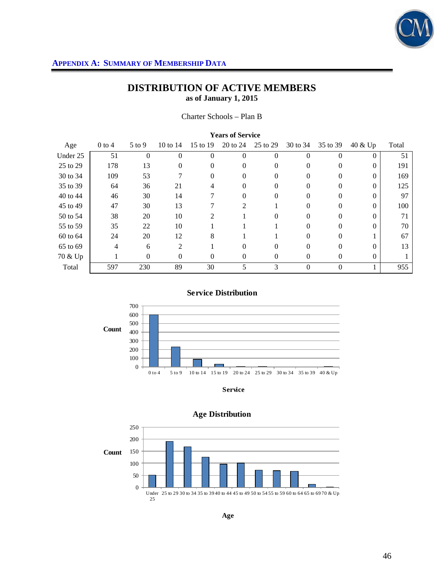

Charter Schools – Plan B

| <b>Years of Service</b> |          |            |          |                |          |          |          |          |          |       |  |
|-------------------------|----------|------------|----------|----------------|----------|----------|----------|----------|----------|-------|--|
| Age                     | $0$ to 4 | $5$ to $9$ | 10 to 14 | 15 to 19       | 20 to 24 | 25 to 29 | 30 to 34 | 35 to 39 | 40 & Up  | Total |  |
| Under 25                | 51       | 0          | 0        | 0              | $\Omega$ | 0        |          | 0        | 0        | 51    |  |
| 25 to 29                | 178      | 13         | $\Omega$ | $\theta$       | 0        | 0        | $\theta$ | $\Omega$ | $\Omega$ | 191   |  |
| 30 to 34                | 109      | 53         |          | $\Omega$       | $\Omega$ | 0        | $\Omega$ | 0        | $\Omega$ | 169   |  |
| 35 to 39                | 64       | 36         | 21       |                | $\Omega$ | 0        |          | 0        | $\Omega$ | 125   |  |
| 40 to 44                | 46       | 30         | 14       |                | $\Omega$ | 0        | $\theta$ | $\Omega$ | $\Omega$ | 97    |  |
| 45 to 49                | 47       | 30         | 13       |                | 2        |          |          | 0        | $\Omega$ | 100   |  |
| 50 to 54                | 38       | 20         | 10       | $\mathfrak{D}$ |          | 0        |          | 0        | $\Omega$ | 71    |  |
| 55 to 59                | 35       | 22         | 10       |                |          |          | 0        | $\Omega$ | $\Omega$ | 70    |  |
| 60 to 64                | 24       | 20         | 12       | 8              |          |          |          | 0        |          | 67    |  |
| 65 to 69                | 4        | 6          | 2        |                | $\Omega$ | 0        |          | 0        | $\Omega$ | 13    |  |
| 70 & Up                 |          | $\theta$   | $\theta$ | $\Omega$       | $\Omega$ | $\Omega$ | $\Omega$ | $\Omega$ | $\theta$ |       |  |
| Total                   | 597      | 230        | 89       | 30             | 5        | 3        | $\Omega$ | $\Omega$ |          | 955   |  |

**Service Distribution**



**Service**



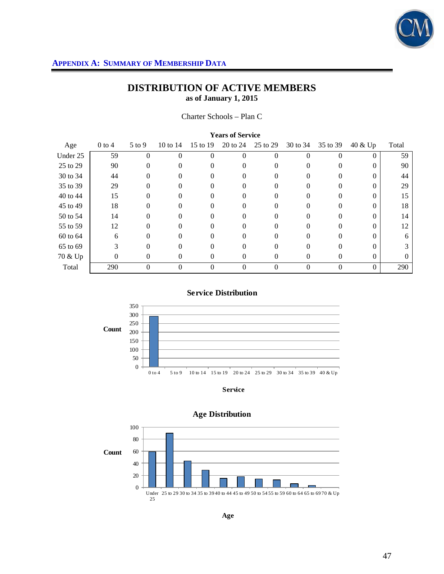

Charter Schools – Plan C

| <b>Years of Service</b> |          |          |            |          |          |          |          |          |          |          |  |
|-------------------------|----------|----------|------------|----------|----------|----------|----------|----------|----------|----------|--|
| Age                     | $0$ to 4 | $5$ to 9 | 10 to $14$ | 15 to 19 | 20 to 24 | 25 to 29 | 30 to 34 | 35 to 39 | 40 & Up  | Total    |  |
| Under 25                | 59       | 0        | 0          | 0        | 0        | $\Omega$ |          | 0        | $\Omega$ | 59       |  |
| 25 to 29                | 90       | 0        | 0          | $\Omega$ | 0        | $\Omega$ |          | $\Omega$ | $\Omega$ | 90       |  |
| 30 to 34                | 44       | $\Omega$ | 0          | $\theta$ | $\theta$ | 0        |          | $^{(1)}$ |          | 44       |  |
| 35 to 39                | 29       |          |            |          | 0        | 0        |          |          |          | 29       |  |
| 40 to 44                | 15       | 0        | 0          | 0        | 0        | 0        |          | 0        | 0        | 15       |  |
| 45 to 49                | 18       |          |            |          | 0        |          |          |          | $\Omega$ | 18       |  |
| 50 to 54                | 14       | 0        | 0          |          | 0        |          |          |          |          | 14       |  |
| 55 to 59                | 12       | 0        | 0          | 0        | 0        | 0        | 0        | 0        | 0        | 12       |  |
| 60 to 64                | 6        | 0        |            |          | 0        |          |          | $^{(1)}$ |          | 6        |  |
| 65 to 69                | 3        |          |            |          | 0        |          |          |          |          |          |  |
| 70 & Up                 | $\theta$ | $\Omega$ | $\Omega$   | $\Omega$ | $\Omega$ | $\Omega$ | $\Omega$ | $\Omega$ | $\Omega$ | $\Omega$ |  |
| Total                   | 290      | 0        | 0          | $\theta$ | 0        | 0        | $\Omega$ | $\Omega$ | $\Omega$ | 290      |  |



**Service Distribution**

**Service**

0 to 4 5 to 9 10 to 14 15 to 19 20 to 24 25 to 29 30 to 34 35 to 39 40 & Up



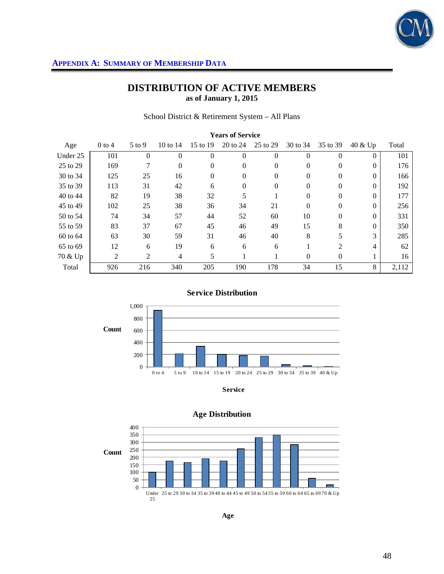

# **DISTRIBUTION OF ACTIVE MEMBERS as of January 1, 2015**

School District & Retirement System – All Plans

| <b>Years of Service</b> |          |                |                |          |          |                |          |              |                    |       |  |
|-------------------------|----------|----------------|----------------|----------|----------|----------------|----------|--------------|--------------------|-------|--|
| Age                     | $0$ to 4 | $5$ to 9       | 10 to 14       | 15 to 19 | 20 to 24 | 25 to 29       | 30 to 34 | 35 to 39     | 40 & Up            | Total |  |
| Under 25                | 101      | $\overline{0}$ | $\Omega$       | $\Omega$ | $\theta$ | $\overline{0}$ | $\Omega$ | $\theta$     | $\left( 0 \right)$ | 101   |  |
| 25 to 29                | 169      | 7              | $\theta$       | $\theta$ | $\Omega$ | $\theta$       | $\Omega$ | $\Omega$     | $\Omega$           | 176   |  |
| 30 to 34                | 125      | 25             | 16             | $\theta$ | $\Omega$ | $\theta$       | $\Omega$ | $\Omega$     | $\Omega$           | 166   |  |
| 35 to 39                | 113      | 31             | 42             | 6        | $\Omega$ | 0              | 0        | 0            | $\Omega$           | 192   |  |
| 40 to 44                | 82       | 19             | 38             | 32       | 5        |                | $\Omega$ | $\Omega$     | $\Omega$           | 177   |  |
| 45 to 49                | 102      | 25             | 38             | 36       | 34       | 21             | $\Omega$ | $\Omega$     | $\Omega$           | 256   |  |
| 50 to 54                | 74       | 34             | 57             | 44       | 52       | 60             | 10       | $\theta$     | $\Omega$           | 331   |  |
| 55 to 59                | 83       | 37             | 67             | 45       | 46       | 49             | 15       | 8            | $\Omega$           | 350   |  |
| 60 to 64                | 63       | 30             | 59             | 31       | 46       | 40             | 8        | 5            | 3                  | 285   |  |
| 65 to 69                | 12       | 6              | 19             | 6        | 6        | 6              |          | 2            | 4                  | 62    |  |
| 70 & Up                 | 2        | 2              | $\overline{4}$ | 5        |          |                | $\Omega$ | $\mathbf{0}$ |                    | 16    |  |
| Total                   | 926      | 216            | 340            | 205      | 190      | 178            | 34       | 15           | 8                  | 2,112 |  |



**Service Distribution**



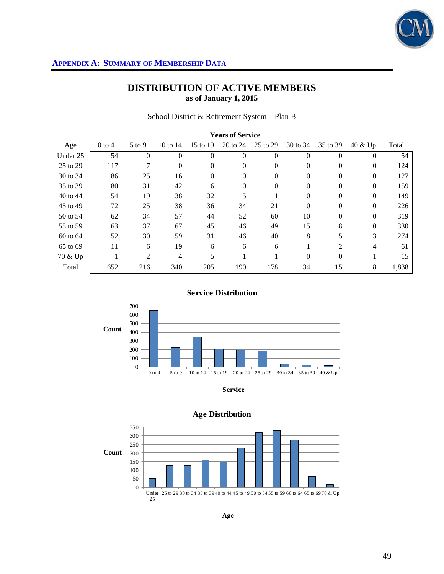

School District & Retirement System – Plan B

| <b>Years of Service</b> |          |          |                |                |          |                  |          |                |          |       |  |
|-------------------------|----------|----------|----------------|----------------|----------|------------------|----------|----------------|----------|-------|--|
| Age                     | $0$ to 4 | $5$ to 9 | 10 to $14$     | 15 to 19       | 20 to 24 | 25 to 29         | 30 to 34 | 35 to 39       | 40 & Up  | Total |  |
| Under 25                | 54       | $\theta$ | $\Omega$       | $\overline{0}$ | $\Omega$ | $\mathbf{0}$     | $\Omega$ | $\Omega$       | $\Omega$ | 54    |  |
| 25 to 29                | 117      | 7        | $\Omega$       | $\Omega$       | $\Omega$ | $\mathbf{0}$     | $\Omega$ | $\Omega$       | $\Omega$ | 124   |  |
| 30 to 34                | 86       | 25       | 16             | $\mathbf{0}$   | $\Omega$ | $\mathbf{0}$     | $\Omega$ | $\Omega$       | $\Omega$ | 127   |  |
| 35 to 39                | 80       | 31       | 42             | 6              | $\Omega$ | $\boldsymbol{0}$ | $\Omega$ | $\Omega$       | $\Omega$ | 159   |  |
| 40 to 44                | 54       | 19       | 38             | 32             | 5        |                  | $\Omega$ | $\Omega$       | $\Omega$ | 149   |  |
| 45 to 49                | 72       | 25       | 38             | 36             | 34       | 21               | $\Omega$ | $\Omega$       | $\Omega$ | 226   |  |
| 50 to 54                | 62       | 34       | 57             | 44             | 52       | 60               | 10       | $\Omega$       | $\Omega$ | 319   |  |
| 55 to 59                | 63       | 37       | 67             | 45             | 46       | 49               | 15       | 8              | $\Omega$ | 330   |  |
| 60 to 64                | 52       | 30       | 59             | 31             | 46       | 40               | 8        | 5              | 3        | 274   |  |
| 65 to 69                | 11       | 6        | 19             | 6              | 6        | 6                |          | $\mathfrak{D}$ | 4        | 61    |  |
| 70 & Up                 |          | 2        | $\overline{4}$ | 5              |          |                  | $\Omega$ | $\Omega$       |          | 15    |  |
| Total                   | 652      | 216      | 340            | 205            | 190      | 178              | 34       | 15             | 8        | 1,838 |  |



**Service Distribution**



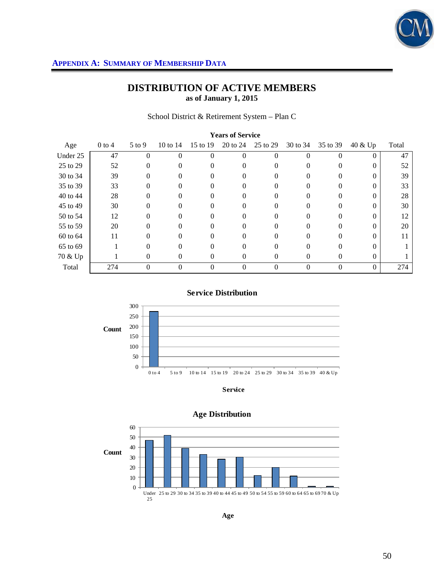

School District & Retirement System – Plan C

| <b>Years of Service</b> |          |              |            |                |          |          |          |                  |          |       |  |
|-------------------------|----------|--------------|------------|----------------|----------|----------|----------|------------------|----------|-------|--|
| Age                     | $0$ to 4 | $5$ to 9     | 10 to $14$ | 15 to 19       | 20 to 24 | 25 to 29 | 30 to 34 | 35 to 39         | 40 & Up  | Total |  |
| Under 25                | 47       | 0            | 0          | $\theta$       | 0        | 0        |          | $\Omega$         |          | 47    |  |
| 25 to 29                | 52       | 0            |            |                | 0        | 0        |          | 0                |          | 52    |  |
| 30 to 34                | 39       | $\Omega$     | 0          | $\theta$       | 0        | $^{(1)}$ | $\theta$ | 0                |          | 39    |  |
| 35 to 39                | 33       | 0            | 0          |                | 0        | 0        |          | 0                |          | 33    |  |
| 40 to 44                | 28       | 0            | $\Omega$   | 0              | 0        | $\Omega$ |          | $\Omega$         |          | 28    |  |
| 45 to 49                | 30       | $\Omega$     | 0          | 0              | $\Omega$ | 0        |          | 0                |          | 30    |  |
| 50 to 54                | 12       | 0            |            |                | 0        | 0        |          | 0                |          | 12    |  |
| 55 to 59                | 20       | $\Omega$     | 0          | 0              | 0        | 0        | $\Omega$ | 0                | 0        | 20    |  |
| 60 to 64                | 11       | 0            | 0          |                | 0        |          |          | 0                |          | 11    |  |
| 65 to 69                |          |              |            |                | 0        |          |          | $\Omega$         |          |       |  |
| 70 & Up                 |          | $\mathbf{0}$ | $\Omega$   | $\theta$       | $\Omega$ | 0        | $\left($ | $\Omega$         | $\Omega$ |       |  |
| Total                   | 274      | 0            | 0          | $\overline{0}$ | $\Omega$ | 0        | $\Omega$ | $\boldsymbol{0}$ | $\Omega$ | 274   |  |



**Service Distribution**

**Service**

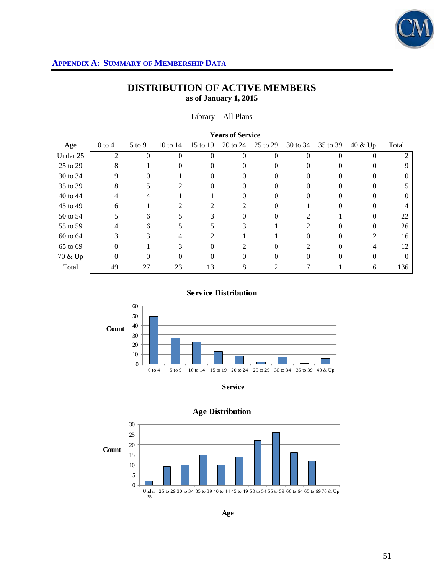

Library – All Plans

| <b>Years of Service</b> |                |            |                |                             |                |          |          |          |          |          |  |
|-------------------------|----------------|------------|----------------|-----------------------------|----------------|----------|----------|----------|----------|----------|--|
| Age                     | $0$ to $4$     | $5$ to $9$ | 10 to 14       | 15 to 19                    | 20 to 24       | 25 to 29 | 30 to 34 | 35 to 39 | 40 & Up  | Total    |  |
| Under 25                | $\mathfrak{D}$ | 0          | 0              |                             | $\Omega$       | 0        |          | 0        | $\Omega$ |          |  |
| 25 to 29                | 8              |            | 0              | $^{(1)}$                    | $\theta$       | $\Omega$ |          | $\Omega$ | $\Omega$ | 9        |  |
| 30 to 34                |                |            |                |                             |                |          |          |          | 0        | 10       |  |
| 35 to 39                | 8              |            | $\mathfrak{D}$ |                             | 0              |          |          |          | 0        | 15       |  |
| 40 to 44                | 4              | 4          |                |                             | 0              | $\Omega$ | 0        | $\Omega$ | 0        | 10       |  |
| 45 to 49                | 6              |            |                |                             | $\mathfrak{D}$ | 0        |          |          | $\theta$ | 14       |  |
| 50 to 54                |                | 6          |                |                             | 0              |          |          |          | 0        | 22       |  |
| 55 to 59                | 4              | 6          | ┑              |                             | 3              |          | 2        | $\Omega$ | 0        | 26       |  |
| 60 to 64                | 3              | ⌒          |                | $\mathcal{D}_{\mathcal{L}}$ |                |          |          |          | 2        | 16       |  |
| 65 to 69                | 0              |            | 3              |                             | ↑              |          |          |          | 4        | 12       |  |
| 70 & Up                 | 0              | 0          | $^{(1)}$       | $\Omega$                    | $\Omega$       | $\Omega$ | $\Omega$ | 0        | $\Omega$ | $\Omega$ |  |
| Total                   | 49             | 27         | 23             | 13                          | 8              | 2        |          |          | 6        | 136      |  |

**Service Distribution**



**Service**



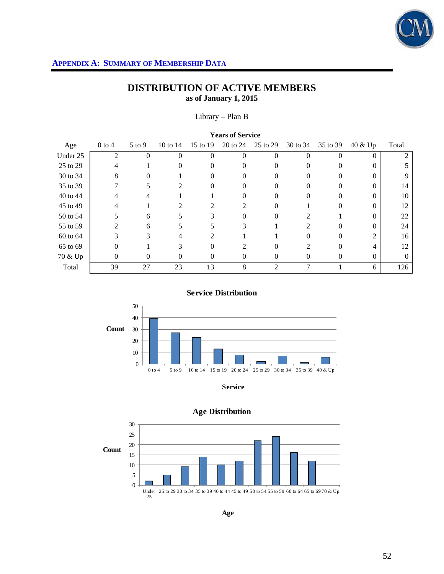

Library – Plan B

| <b>Years of Service</b> |          |          |          |                             |                |                |               |          |          |          |  |
|-------------------------|----------|----------|----------|-----------------------------|----------------|----------------|---------------|----------|----------|----------|--|
| Age                     | $0$ to 4 | $5$ to 9 | 10 to 14 | 15 to 19                    | 20 to 24       | 25 to 29       | 30 to 34      | 35 to 39 | 40 & Up  | Total    |  |
| Under 25                | 2        | $\Omega$ | $\Omega$ | 0                           | $\Omega$       | $\theta$       | 0             | 0        | $\Omega$ |          |  |
| 25 to 29                | 4        |          | 0        | 0                           | 0              | 0              |               | $\Omega$ | 0        |          |  |
| 30 to 34                | 8        | 0        |          |                             | $\theta$       | O              |               | 0        |          | 9        |  |
| 35 to 39                |          |          | 2        |                             | 0              | 0              |               |          |          | 14       |  |
| 40 to 44                | 4        | 4        |          |                             | 0              | $\Omega$       | 0             | 0        | 0        | 10       |  |
| 45 to 49                |          |          |          |                             | $\mathfrak{D}$ | 0              |               |          |          | 12       |  |
| 50 to 54                |          | 6        |          |                             | 0              |                |               |          |          | 22       |  |
| 55 to 59                |          | 6        | 5.       | 5.                          | 3              |                | $\mathcal{L}$ | 0        | 0        | 24       |  |
| 60 to 64                |          | 3        | 4        | $\mathcal{D}_{\mathcal{L}}$ |                |                |               |          | 2        | 16       |  |
| 65 to 69                | 0        |          | 3        | 0                           | $\mathfrak{D}$ |                | $\mathcal{D}$ | 0        | 4        | 12       |  |
| 70 & Up                 | $\theta$ | 0        | $\theta$ | $\mathbf{0}$                | $\Omega$       | 0              | $\Omega$      | $\Omega$ | $\theta$ | $\Omega$ |  |
| Total                   | 39       | 27       | 23       | 13                          | 8              | $\overline{c}$ | ⇁             |          | 6        | 126      |  |

**Service Distribution**



**Service**



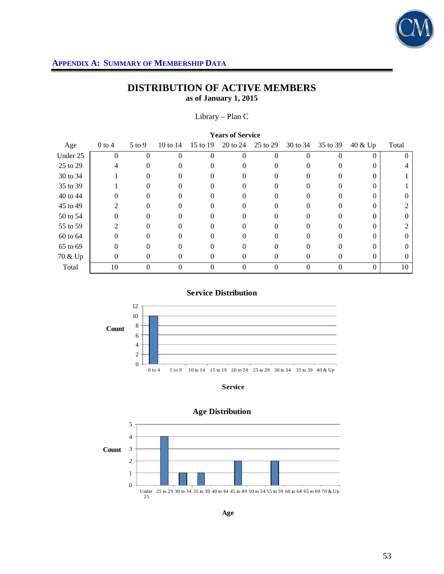

Library – Plan C

| <b>Years of Service</b> |                |            |          |          |          |          |          |          |          |          |  |
|-------------------------|----------------|------------|----------|----------|----------|----------|----------|----------|----------|----------|--|
| Age                     | $0$ to 4       | $5$ to $9$ | 10 to 14 | 15 to 19 | 20 to 24 | 25 to 29 | 30 to 34 | 35 to 39 | 40 & Up  | Total    |  |
| Under 25                | $\overline{0}$ | 0          | 0        | $\Omega$ | 0        | $\theta$ |          | $\Omega$ | $\Omega$ | $\theta$ |  |
| 25 to 29                |                | 0          |          |          | 0        |          |          |          | 0        |          |  |
| 30 to 34                |                | 0          |          | 0        | $\theta$ |          |          |          |          |          |  |
| 35 to 39                |                |            |          |          | 0        |          |          |          |          |          |  |
| 40 to 44                | 0              | 0          | 0        | $^{(1)}$ | 0        | $\Omega$ |          | $\Omega$ | $\theta$ | $\theta$ |  |
| 45 to 49                |                | 0          |          |          | 0        |          |          |          | $^{(1)}$ | 2        |  |
| 50 to 54                | 0              | 0          |          |          | 0        |          |          |          |          | $\Omega$ |  |
| 55 to 59                | 2              | 0          | 0        | $^{(1)}$ | 0        | $\Omega$ |          | $\Omega$ | $\theta$ | 2        |  |
| 60 to 64                |                |            |          |          |          |          |          |          | 0        | $\Omega$ |  |
| 65 to 69                | 0              |            |          |          |          |          |          |          |          | $\left($ |  |
| 70 & Up                 | 0              | $\Omega$   | 0        | $\theta$ | $\Omega$ | $\Omega$ | $^{(1)}$ | 0        | $\Omega$ | $\theta$ |  |
| Total                   | 10             | 0          | 0        | $\theta$ | 0        | 0        |          | $\theta$ | $\theta$ | 10       |  |

**Service Distribution**



**Service**



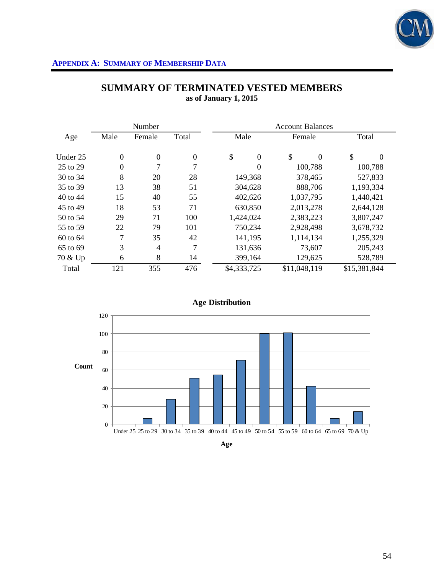

|          |                  | Number         |                | <b>Account Balances</b> |                |              |           |              |           |  |
|----------|------------------|----------------|----------------|-------------------------|----------------|--------------|-----------|--------------|-----------|--|
| Age      | Male             | Female         | Total          |                         | Male           |              | Female    | Total        |           |  |
| Under 25 | $\boldsymbol{0}$ | $\overline{0}$ | $\overline{0}$ | \$                      | $\overline{0}$ | \$           | $\Omega$  | \$           | $\Omega$  |  |
| 25 to 29 | $\boldsymbol{0}$ | $\overline{7}$ | $\overline{7}$ |                         | $\overline{0}$ |              | 100,788   |              | 100,788   |  |
| 30 to 34 | 8                | 20             | 28             | 149,368                 |                | 378,465      |           |              | 527,833   |  |
| 35 to 39 | 13               | 38             | 51             | 304,628                 |                | 888,706      |           |              | 1,193,334 |  |
| 40 to 44 | 15               | 40             | 55             |                         | 402,626        |              | 1,037,795 |              | 1,440,421 |  |
| 45 to 49 | 18               | 53             | 71             | 630,850                 |                |              | 2,013,278 |              | 2,644,128 |  |
| 50 to 54 | 29               | 71             | 100            | 1,424,024               |                | 2,383,223    |           |              | 3,807,247 |  |
| 55 to 59 | 22               | 79             | 101            | 750,234                 |                |              | 2,928,498 |              | 3,678,732 |  |
| 60 to 64 | 7                | 35             | 42             | 141,195                 |                |              | 1,114,134 |              | 1,255,329 |  |
| 65 to 69 | 3                | $\overline{4}$ | $\overline{7}$ | 131,636                 |                |              | 73,607    |              | 205,243   |  |
| 70 & Up  | 6                | 8              | 14             | 399,164                 |                |              | 129,625   |              | 528,789   |  |
| Total    | 121              | 355            | 476            | \$4,333,725             |                | \$11,048,119 |           | \$15,381,844 |           |  |

# **SUMMARY OF TERMINATED VESTED MEMBERS as of January 1, 2015**



**Age**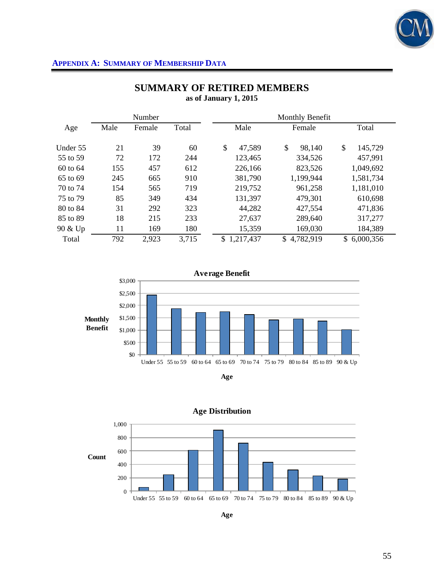

|          |      | Number |       | Monthly Benefit |              |                 |  |  |  |  |
|----------|------|--------|-------|-----------------|--------------|-----------------|--|--|--|--|
| Age      | Male | Female | Total | Male            | Female       | Total           |  |  |  |  |
| Under 55 | 21   | 39     | 60    | \$<br>47,589    | \$<br>98,140 | \$<br>145,729   |  |  |  |  |
| 55 to 59 | 72   | 172    | 244   | 123,465         | 334,526      | 457,991         |  |  |  |  |
| 60 to 64 | 155  | 457    | 612   | 226,166         | 823,526      | 1,049,692       |  |  |  |  |
| 65 to 69 | 245  | 665    | 910   | 381,790         | 1,199,944    | 1,581,734       |  |  |  |  |
| 70 to 74 | 154  | 565    | 719   | 219,752         | 961,258      | 1,181,010       |  |  |  |  |
| 75 to 79 | 85   | 349    | 434   | 131,397         | 479,301      | 610,698         |  |  |  |  |
| 80 to 84 | 31   | 292    | 323   | 44,282          | 427,554      | 471,836         |  |  |  |  |
| 85 to 89 | 18   | 215    | 233   | 27,637          | 289,640      | 317,277         |  |  |  |  |
| 90 & Up  | 11   | 169    | 180   | 15,359          | 169,030      | 184,389         |  |  |  |  |
| Total    | 792  | 2,923  | 3,715 | \$<br>1,217,437 | \$4,782,919  | 6,000,356<br>\$ |  |  |  |  |

# **SUMMARY OF RETIRED MEMBERS as of January 1, 2015**







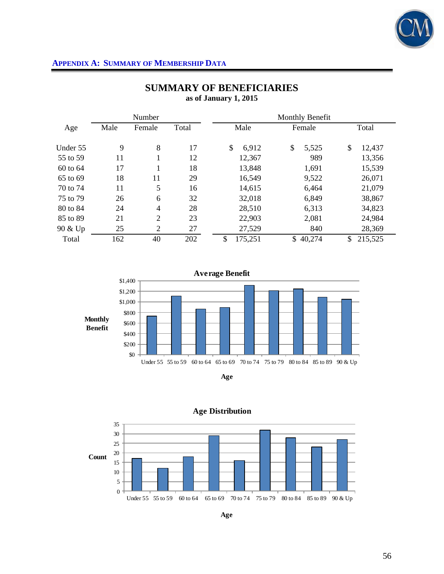

|          |      | Number         |       |               | Monthly Benefit |               |
|----------|------|----------------|-------|---------------|-----------------|---------------|
| Age      | Male | Female         | Total | Male          | Female          | Total         |
| Under 55 | 9    | 8              | 17    | \$<br>6,912   | \$<br>5,525     | \$<br>12,437  |
| 55 to 59 | 11   |                | 12    | 12,367        | 989             | 13,356        |
| 60 to 64 | 17   |                | 18    | 13,848        | 1,691           | 15,539        |
| 65 to 69 | 18   | 11             | 29    | 16,549        | 9,522           | 26,071        |
| 70 to 74 | 11   | 5              | 16    | 14,615        | 6,464           | 21,079        |
| 75 to 79 | 26   | 6              | 32    | 32,018        | 6,849           | 38,867        |
| 80 to 84 | 24   | $\overline{4}$ | 28    | 28,510        | 6,313           | 34,823        |
| 85 to 89 | 21   | $\overline{2}$ | 23    | 22,903        | 2,081           | 24,984        |
| 90 & Up  | 25   | $\overline{2}$ | 27    | 27,529        | 840             | 28,369        |
| Total    | 162  | 40             | 202   | \$<br>175,251 | \$40,274        | 215,525<br>\$ |

# **SUMMARY OF BENEFICIARIES as of January 1, 2015**







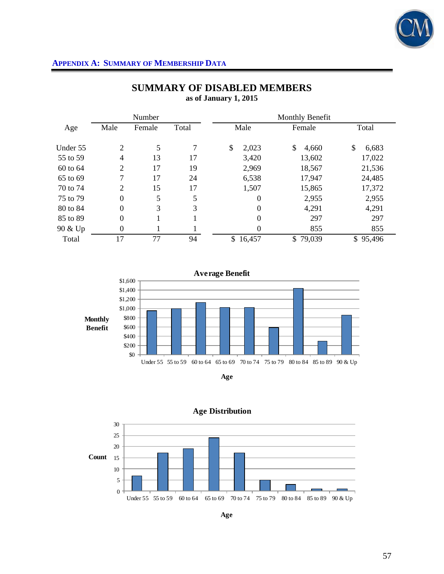

|          |                | Number |       |                  | Monthly Benefit |             |
|----------|----------------|--------|-------|------------------|-----------------|-------------|
| Age      | Male           | Female | Total | Male             | Female          | Total       |
| Under 55 | $\overline{2}$ | 5      | 7     | \$<br>2,023      | \$<br>4,660     | \$<br>6,683 |
| 55 to 59 | 4              | 13     | 17    | 3,420            | 13,602          | 17,022      |
| 60 to 64 | $\overline{2}$ | 17     | 19    | 2,969            | 18,567          | 21,536      |
| 65 to 69 | 7              | 17     | 24    | 6,538            | 17,947          | 24,485      |
| 70 to 74 | $\overline{2}$ | 15     | 17    | 1,507            | 15,865          | 17,372      |
| 75 to 79 | $\overline{0}$ | 5      | 5     | $\theta$         | 2,955           | 2,955       |
| 80 to 84 | $\overline{0}$ | 3      | 3     | $\boldsymbol{0}$ | 4,291           | 4,291       |
| 85 to 89 | $\overline{0}$ |        |       | $\boldsymbol{0}$ | 297             | 297         |
| 90 & Up  | $\overline{0}$ |        |       | $\overline{0}$   | 855             | 855         |
| Total    | 17             | 77     | 94    | \$16,457         | \$79,039        | \$95,496    |

# **SUMMARY OF DISABLED MEMBERS as of January 1, 2015**







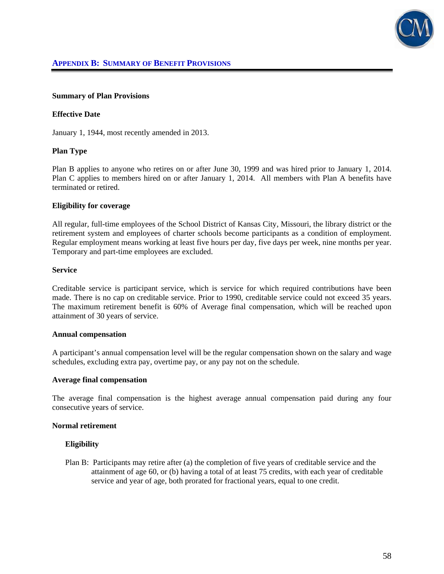

#### **Summary of Plan Provisions**

#### **Effective Date**

January 1, 1944, most recently amended in 2013.

### **Plan Type**

Plan B applies to anyone who retires on or after June 30, 1999 and was hired prior to January 1, 2014. Plan C applies to members hired on or after January 1, 2014. All members with Plan A benefits have terminated or retired.

#### **Eligibility for coverage**

All regular, full-time employees of the School District of Kansas City, Missouri, the library district or the retirement system and employees of charter schools become participants as a condition of employment. Regular employment means working at least five hours per day, five days per week, nine months per year. Temporary and part-time employees are excluded.

#### **Service**

Creditable service is participant service, which is service for which required contributions have been made. There is no cap on creditable service. Prior to 1990, creditable service could not exceed 35 years. The maximum retirement benefit is 60% of Average final compensation, which will be reached upon attainment of 30 years of service.

#### **Annual compensation**

A participant's annual compensation level will be the regular compensation shown on the salary and wage schedules, excluding extra pay, overtime pay, or any pay not on the schedule.

#### **Average final compensation**

The average final compensation is the highest average annual compensation paid during any four consecutive years of service.

#### **Normal retirement**

### **Eligibility**

Plan B: Participants may retire after (a) the completion of five years of creditable service and the attainment of age 60, or (b) having a total of at least 75 credits, with each year of creditable service and year of age, both prorated for fractional years, equal to one credit.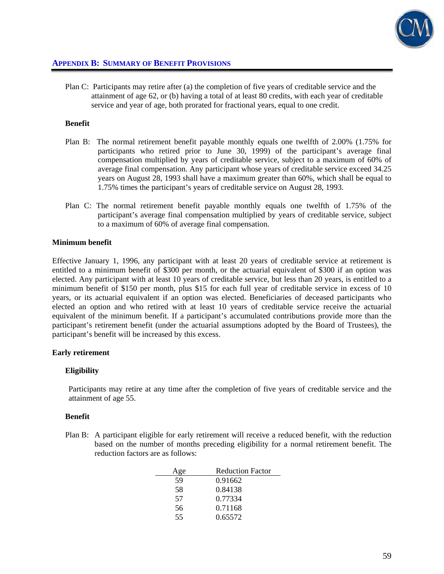

Plan C: Participants may retire after (a) the completion of five years of creditable service and the attainment of age 62, or (b) having a total of at least 80 credits, with each year of creditable service and year of age, both prorated for fractional years, equal to one credit.

#### **Benefit**

- Plan B: The normal retirement benefit payable monthly equals one twelfth of 2.00% (1.75% for participants who retired prior to June 30, 1999) of the participant's average final compensation multiplied by years of creditable service, subject to a maximum of 60% of average final compensation. Any participant whose years of creditable service exceed 34.25 years on August 28, 1993 shall have a maximum greater than 60%, which shall be equal to 1.75% times the participant's years of creditable service on August 28, 1993.
- Plan C: The normal retirement benefit payable monthly equals one twelfth of 1.75% of the participant's average final compensation multiplied by years of creditable service, subject to a maximum of 60% of average final compensation.

#### **Minimum benefit**

Effective January 1, 1996, any participant with at least 20 years of creditable service at retirement is entitled to a minimum benefit of \$300 per month, or the actuarial equivalent of \$300 if an option was elected. Any participant with at least 10 years of creditable service, but less than 20 years, is entitled to a minimum benefit of \$150 per month, plus \$15 for each full year of creditable service in excess of 10 years, or its actuarial equivalent if an option was elected. Beneficiaries of deceased participants who elected an option and who retired with at least 10 years of creditable service receive the actuarial equivalent of the minimum benefit. If a participant's accumulated contributions provide more than the participant's retirement benefit (under the actuarial assumptions adopted by the Board of Trustees), the participant's benefit will be increased by this excess.

#### **Early retirement**

#### **Eligibility**

Participants may retire at any time after the completion of five years of creditable service and the attainment of age 55.

#### **Benefit**

Plan B: A participant eligible for early retirement will receive a reduced benefit, with the reduction based on the number of months preceding eligibility for a normal retirement benefit. The reduction factors are as follows:

| Age | <b>Reduction Factor</b> |
|-----|-------------------------|
| 59  | 0.91662                 |
| 58  | 0.84138                 |
| 57  | 0.77334                 |
| 56  | 0.71168                 |
| 55  | 0.65572                 |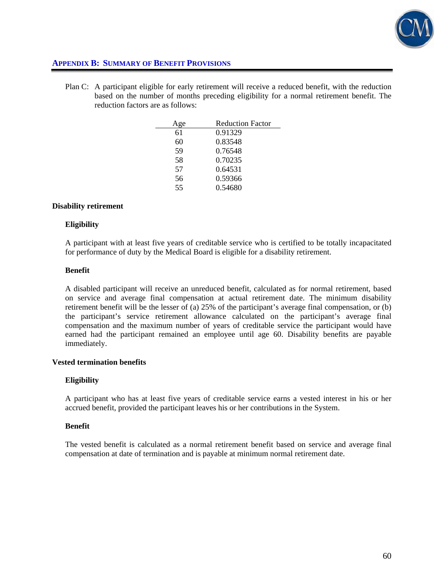

Plan C: A participant eligible for early retirement will receive a reduced benefit, with the reduction based on the number of months preceding eligibility for a normal retirement benefit. The reduction factors are as follows:

| Age | <b>Reduction Factor</b> |
|-----|-------------------------|
| 61  | 0.91329                 |
| 60  | 0.83548                 |
| 59  | 0.76548                 |
| 58  | 0.70235                 |
| 57  | 0.64531                 |
| 56  | 0.59366                 |
| 55  | 0.54680                 |

### **Disability retirement**

### **Eligibility**

A participant with at least five years of creditable service who is certified to be totally incapacitated for performance of duty by the Medical Board is eligible for a disability retirement.

### **Benefit**

A disabled participant will receive an unreduced benefit, calculated as for normal retirement, based on service and average final compensation at actual retirement date. The minimum disability retirement benefit will be the lesser of (a) 25% of the participant's average final compensation, or (b) the participant's service retirement allowance calculated on the participant's average final compensation and the maximum number of years of creditable service the participant would have earned had the participant remained an employee until age 60. Disability benefits are payable immediately.

### **Vested termination benefits**

### **Eligibility**

A participant who has at least five years of creditable service earns a vested interest in his or her accrued benefit, provided the participant leaves his or her contributions in the System.

### **Benefit**

The vested benefit is calculated as a normal retirement benefit based on service and average final compensation at date of termination and is payable at minimum normal retirement date.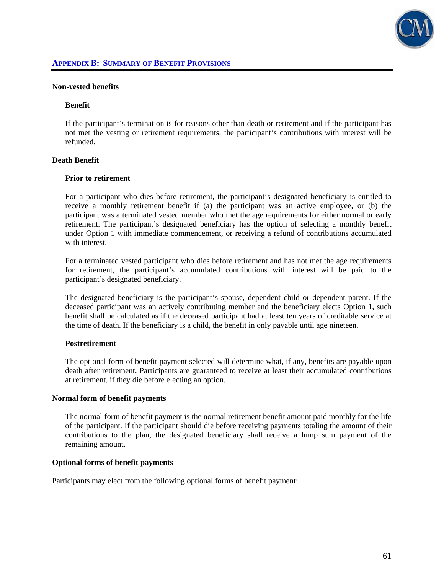

#### **Non-vested benefits**

#### **Benefit**

If the participant's termination is for reasons other than death or retirement and if the participant has not met the vesting or retirement requirements, the participant's contributions with interest will be refunded.

### **Death Benefit**

#### **Prior to retirement**

For a participant who dies before retirement, the participant's designated beneficiary is entitled to receive a monthly retirement benefit if (a) the participant was an active employee, or (b) the participant was a terminated vested member who met the age requirements for either normal or early retirement. The participant's designated beneficiary has the option of selecting a monthly benefit under Option 1 with immediate commencement, or receiving a refund of contributions accumulated with interest.

 For a terminated vested participant who dies before retirement and has not met the age requirements for retirement, the participant's accumulated contributions with interest will be paid to the participant's designated beneficiary.

 The designated beneficiary is the participant's spouse, dependent child or dependent parent. If the deceased participant was an actively contributing member and the beneficiary elects Option 1, such benefit shall be calculated as if the deceased participant had at least ten years of creditable service at the time of death. If the beneficiary is a child, the benefit in only payable until age nineteen.

#### **Postretirement**

The optional form of benefit payment selected will determine what, if any, benefits are payable upon death after retirement. Participants are guaranteed to receive at least their accumulated contributions at retirement, if they die before electing an option.

#### **Normal form of benefit payments**

The normal form of benefit payment is the normal retirement benefit amount paid monthly for the life of the participant. If the participant should die before receiving payments totaling the amount of their contributions to the plan, the designated beneficiary shall receive a lump sum payment of the remaining amount.

### **Optional forms of benefit payments**

Participants may elect from the following optional forms of benefit payment: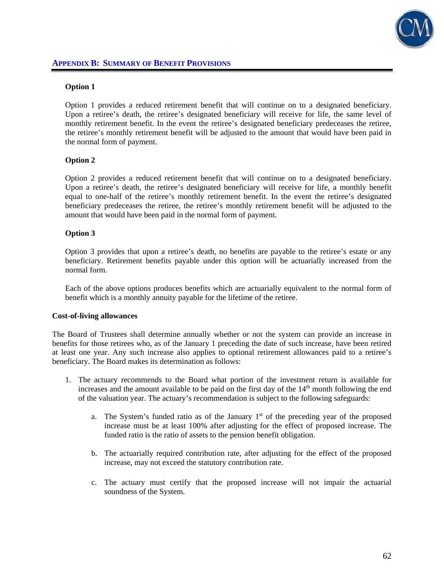

### **Option 1**

Option 1 provides a reduced retirement benefit that will continue on to a designated beneficiary. Upon a retiree's death, the retiree's designated beneficiary will receive for life, the same level of monthly retirement benefit. In the event the retiree's designated beneficiary predeceases the retiree, the retiree's monthly retirement benefit will be adjusted to the amount that would have been paid in the normal form of payment.

### **Option 2**

Option 2 provides a reduced retirement benefit that will continue on to a designated beneficiary. Upon a retiree's death, the retiree's designated beneficiary will receive for life, a monthly benefit equal to one-half of the retiree's monthly retirement benefit. In the event the retiree's designated beneficiary predeceases the retiree, the retiree's monthly retirement benefit will be adjusted to the amount that would have been paid in the normal form of payment.

### **Option 3**

Option 3 provides that upon a retiree's death, no benefits are payable to the retiree's estate or any beneficiary. Retirement benefits payable under this option will be actuarially increased from the normal form.

 Each of the above options produces benefits which are actuarially equivalent to the normal form of benefit which is a monthly annuity payable for the lifetime of the retiree.

### **Cost-of-living allowances**

The Board of Trustees shall determine annually whether or not the system can provide an increase in benefits for those retirees who, as of the January 1 preceding the date of such increase, have been retired at least one year. Any such increase also applies to optional retirement allowances paid to a retiree's beneficiary. The Board makes its determination as follows:

- 1. The actuary recommends to the Board what portion of the investment return is available for increases and the amount available to be paid on the first day of the  $14<sup>th</sup>$  month following the end of the valuation year. The actuary's recommendation is subject to the following safeguards:
	- a. The System's funded ratio as of the January  $1<sup>st</sup>$  of the preceding year of the proposed increase must be at least 100% after adjusting for the effect of proposed increase. The funded ratio is the ratio of assets to the pension benefit obligation.
	- b. The actuarially required contribution rate, after adjusting for the effect of the proposed increase, may not exceed the statutory contribution rate.
	- c. The actuary must certify that the proposed increase will not impair the actuarial soundness of the System.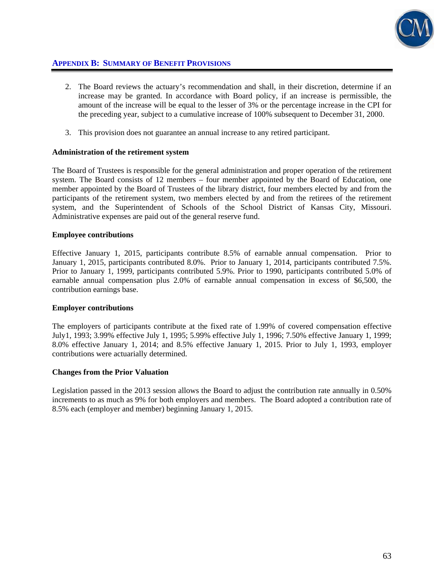

- 2. The Board reviews the actuary's recommendation and shall, in their discretion, determine if an increase may be granted. In accordance with Board policy, if an increase is permissible, the amount of the increase will be equal to the lesser of 3% or the percentage increase in the CPI for the preceding year, subject to a cumulative increase of 100% subsequent to December 31, 2000.
- 3. This provision does not guarantee an annual increase to any retired participant.

### **Administration of the retirement system**

The Board of Trustees is responsible for the general administration and proper operation of the retirement system. The Board consists of 12 members – four member appointed by the Board of Education, one member appointed by the Board of Trustees of the library district, four members elected by and from the participants of the retirement system, two members elected by and from the retirees of the retirement system, and the Superintendent of Schools of the School District of Kansas City, Missouri. Administrative expenses are paid out of the general reserve fund.

### **Employee contributions**

Effective January 1, 2015, participants contribute 8.5% of earnable annual compensation. Prior to January 1, 2015, participants contributed 8.0%. Prior to January 1, 2014, participants contributed 7.5%. Prior to January 1, 1999, participants contributed 5.9%. Prior to 1990, participants contributed 5.0% of earnable annual compensation plus 2.0% of earnable annual compensation in excess of \$6,500, the contribution earnings base.

### **Employer contributions**

The employers of participants contribute at the fixed rate of 1.99% of covered compensation effective July1, 1993; 3.99% effective July 1, 1995; 5.99% effective July 1, 1996; 7.50% effective January 1, 1999; 8.0% effective January 1, 2014; and 8.5% effective January 1, 2015. Prior to July 1, 1993, employer contributions were actuarially determined.

### **Changes from the Prior Valuation**

Legislation passed in the 2013 session allows the Board to adjust the contribution rate annually in 0.50% increments to as much as 9% for both employers and members. The Board adopted a contribution rate of 8.5% each (employer and member) beginning January 1, 2015.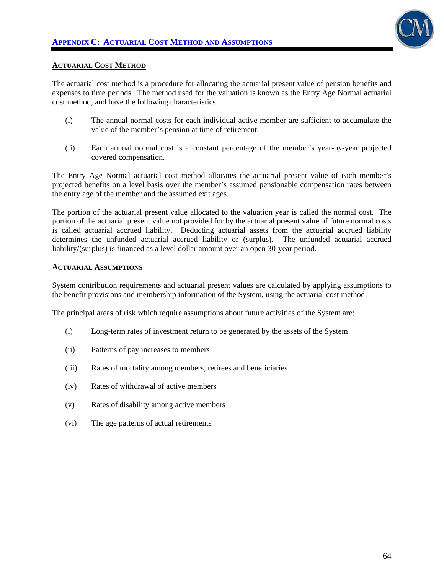

### **ACTUARIAL COST METHOD**

The actuarial cost method is a procedure for allocating the actuarial present value of pension benefits and expenses to time periods. The method used for the valuation is known as the Entry Age Normal actuarial cost method, and have the following characteristics:

- (i) The annual normal costs for each individual active member are sufficient to accumulate the value of the member's pension at time of retirement.
- (ii) Each annual normal cost is a constant percentage of the member's year-by-year projected covered compensation.

The Entry Age Normal actuarial cost method allocates the actuarial present value of each member's projected benefits on a level basis over the member's assumed pensionable compensation rates between the entry age of the member and the assumed exit ages.

The portion of the actuarial present value allocated to the valuation year is called the normal cost. The portion of the actuarial present value not provided for by the actuarial present value of future normal costs is called actuarial accrued liability. Deducting actuarial assets from the actuarial accrued liability determines the unfunded actuarial accrued liability or (surplus). The unfunded actuarial accrued liability/(surplus) is financed as a level dollar amount over an open 30-year period.

#### **ACTUARIAL ASSUMPTIONS**

System contribution requirements and actuarial present values are calculated by applying assumptions to the benefit provisions and membership information of the System, using the actuarial cost method.

The principal areas of risk which require assumptions about future activities of the System are:

- (i) Long-term rates of investment return to be generated by the assets of the System
- (ii) Patterns of pay increases to members
- (iii) Rates of mortality among members, retirees and beneficiaries
- (iv) Rates of withdrawal of active members
- (v) Rates of disability among active members
- (vi) The age patterns of actual retirements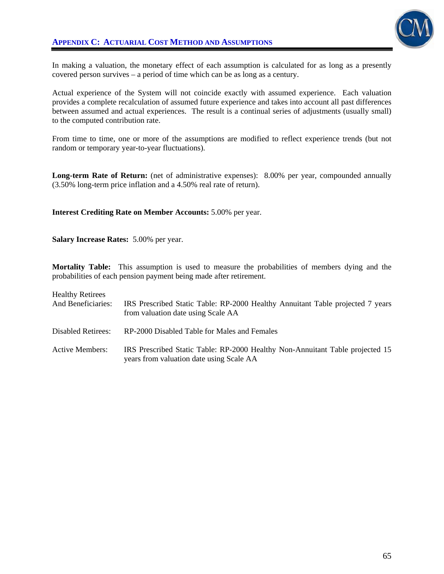

In making a valuation, the monetary effect of each assumption is calculated for as long as a presently covered person survives – a period of time which can be as long as a century.

Actual experience of the System will not coincide exactly with assumed experience. Each valuation provides a complete recalculation of assumed future experience and takes into account all past differences between assumed and actual experiences. The result is a continual series of adjustments (usually small) to the computed contribution rate.

From time to time, one or more of the assumptions are modified to reflect experience trends (but not random or temporary year-to-year fluctuations).

Long-term Rate of Return: (net of administrative expenses): 8.00% per year, compounded annually (3.50% long-term price inflation and a 4.50% real rate of return).

### **Interest Crediting Rate on Member Accounts:** 5.00% per year.

**Salary Increase Rates:** 5.00% per year.

**Mortality Table:** This assumption is used to measure the probabilities of members dying and the probabilities of each pension payment being made after retirement.

| <b>Healthy Retirees</b><br>And Beneficiaries: | IRS Prescribed Static Table: RP-2000 Healthy Annuitant Table projected 7 years<br>from valuation date using Scale AA      |
|-----------------------------------------------|---------------------------------------------------------------------------------------------------------------------------|
| Disabled Retirees:                            | RP-2000 Disabled Table for Males and Females                                                                              |
| <b>Active Members:</b>                        | IRS Prescribed Static Table: RP-2000 Healthy Non-Annuitant Table projected 15<br>years from valuation date using Scale AA |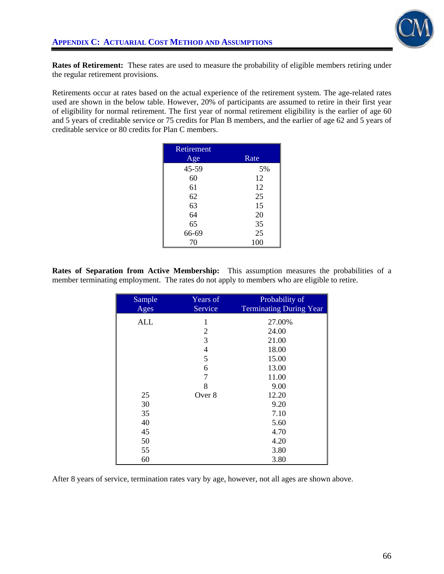

**Rates of Retirement:** These rates are used to measure the probability of eligible members retiring under the regular retirement provisions.

Retirements occur at rates based on the actual experience of the retirement system. The age-related rates used are shown in the below table. However, 20% of participants are assumed to retire in their first year of eligibility for normal retirement. The first year of normal retirement eligibility is the earlier of age 60 and 5 years of creditable service or 75 credits for Plan B members, and the earlier of age 62 and 5 years of creditable service or 80 credits for Plan C members.

| Retirement |      |
|------------|------|
| Age        | Rate |
| 45-59      | 5%   |
| 60         | 12   |
| 61         | 12   |
| 62         | 25   |
| 63         | 15   |
| 64         | 20   |
| 65         | 35   |
| 66-69      | 25   |
| 70         | 100  |

**Rates of Separation from Active Membership:** This assumption measures the probabilities of a member terminating employment. The rates do not apply to members who are eligible to retire.

| Sample<br>Ages | Years of<br>Service | Probability of<br><b>Terminating During Year</b> |
|----------------|---------------------|--------------------------------------------------|
|                |                     |                                                  |
| <b>ALL</b>     | 1                   | 27.00%                                           |
|                | $\overline{2}$      | 24.00                                            |
|                | 3                   | 21.00                                            |
|                | $\overline{4}$      | 18.00                                            |
|                | 5                   | 15.00                                            |
|                | 6                   | 13.00                                            |
|                | 7                   | 11.00                                            |
|                | 8                   | 9.00                                             |
| 25             | Over 8              | 12.20                                            |
| 30             |                     | 9.20                                             |
| 35             |                     | 7.10                                             |
| 40             |                     | 5.60                                             |
| 45             |                     | 4.70                                             |
| 50             |                     | 4.20                                             |
| 55             |                     | 3.80                                             |
| 60             |                     | 3.80                                             |

After 8 years of service, termination rates vary by age, however, not all ages are shown above.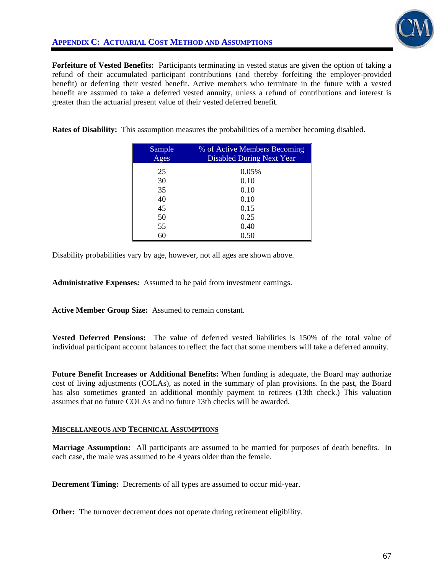

**Forfeiture of Vested Benefits:** Participants terminating in vested status are given the option of taking a refund of their accumulated participant contributions (and thereby forfeiting the employer-provided benefit) or deferring their vested benefit. Active members who terminate in the future with a vested benefit are assumed to take a deferred vested annuity, unless a refund of contributions and interest is greater than the actuarial present value of their vested deferred benefit.

**Rates of Disability:** This assumption measures the probabilities of a member becoming disabled.

| Sample<br>Ages | % of Active Members Becoming<br><b>Disabled During Next Year</b> |
|----------------|------------------------------------------------------------------|
| 25             | 0.05%                                                            |
| 30             | 0.10                                                             |
| 35             | 0.10                                                             |
| 40             | 0.10                                                             |
| 45             | 0.15                                                             |
| 50             | 0.25                                                             |
| 55             | 0.40                                                             |
| 60             | 0.50                                                             |

Disability probabilities vary by age, however, not all ages are shown above.

**Administrative Expenses:** Assumed to be paid from investment earnings.

**Active Member Group Size:** Assumed to remain constant.

**Vested Deferred Pensions:** The value of deferred vested liabilities is 150% of the total value of individual participant account balances to reflect the fact that some members will take a deferred annuity.

**Future Benefit Increases or Additional Benefits:** When funding is adequate, the Board may authorize cost of living adjustments (COLAs), as noted in the summary of plan provisions. In the past, the Board has also sometimes granted an additional monthly payment to retirees (13th check.) This valuation assumes that no future COLAs and no future 13th checks will be awarded.

#### **MISCELLANEOUS AND TECHNICAL ASSUMPTIONS**

**Marriage Assumption:** All participants are assumed to be married for purposes of death benefits. In each case, the male was assumed to be 4 years older than the female.

**Decrement Timing:** Decrements of all types are assumed to occur mid-year.

**Other:** The turnover decrement does not operate during retirement eligibility.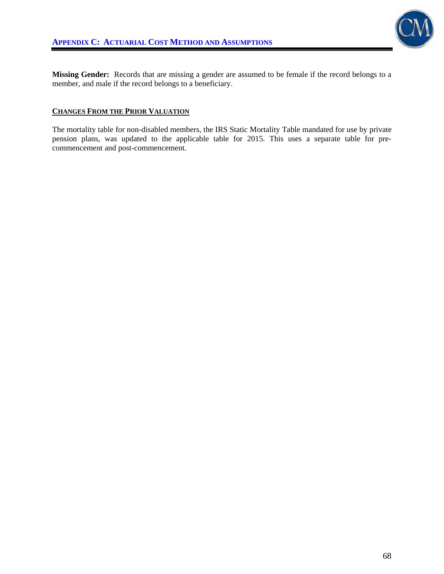

**Missing Gender:** Records that are missing a gender are assumed to be female if the record belongs to a member, and male if the record belongs to a beneficiary.

### **CHANGES FROM THE PRIOR VALUATION**

The mortality table for non-disabled members, the IRS Static Mortality Table mandated for use by private pension plans, was updated to the applicable table for 2015. This uses a separate table for precommencement and post-commencement.